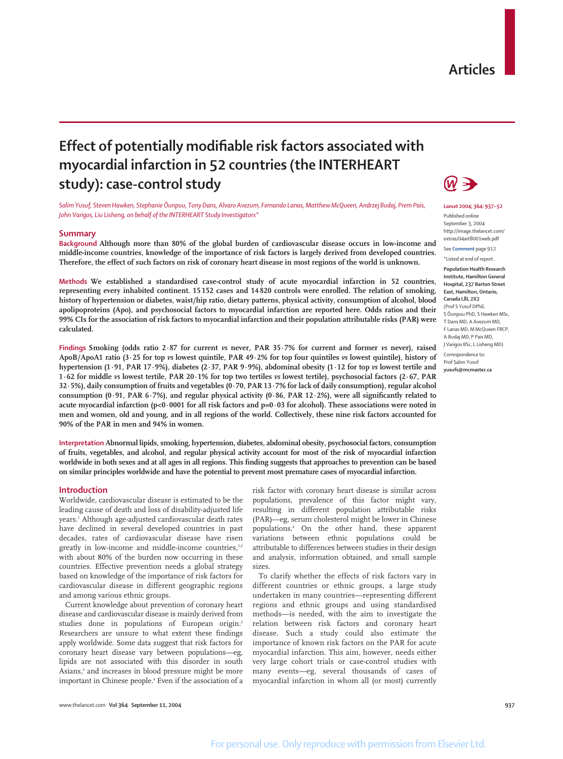# **Effect of potentially modifiable risk factors associated with myocardial infarction in 52 countries (the INTERHEART study): case-control study**

*Salim Yusuf, Steven Hawken, Stephanie Ôunpuu, Tony Dans, Alvaro Avezum, Fernando Lanas, Matthew McQueen, Andrzej Budaj, Prem Pais, John Varigos, Liu Lisheng, on behalf of the INTERHEART Study Investigators\**

# **Summary**

**Background Although more than 80% of the global burden of cardiovascular disease occurs in low-income and middle-income countries, knowledge of the importance of risk factors is largely derived from developed countries. Therefore, the effect of such factors on risk of coronary heart disease in most regions of the world is unknown.** 

**Methods We established a standardised case-control study of acute myocardial infarction in 52 countries, representing every inhabited continent. 15 152 cases and 14 820 controls were enrolled. The relation of smoking, history of hypertension or diabetes, waist/hip ratio, dietary patterns, physical activity, consumption of alcohol, blood apolipoproteins (Apo), and psychosocial factors to myocardial infarction are reported here. Odds ratios and their 99% CIs for the association of risk factors to myocardial infarction and their population attributable risks (PAR) were calculated.** 

**Findings Smoking (odds ratio 2·87 for current** *vs* **never, PAR 35·7% for current and former** *vs* **never), raised ApoB/ApoA1 ratio (3·25 for top** *vs* **lowest quintile, PAR 49·2% for top four quintiles** *vs* **lowest quintile), history of hypertension (1·91, PAR 17·9%), diabetes (2·37, PAR 9·9%), abdominal obesity (1·12 for top** *vs* **lowest tertile and 1·62 for middle** *vs* **lowest tertile, PAR 20·1% for top two tertiles** *vs* **lowest tertile), psychosocial factors (2·67, PAR 32·5%), daily consumption of fruits and vegetables (0·70, PAR 13·7% for lack of daily consumption), regular alcohol consumption (0·91, PAR 6·7%), and regular physical activity (0·86, PAR 12·2%), were all significantly related to acute myocardial infarction (p<0·0001 for all risk factors and p=0·03 for alcohol). These associations were noted in men and women, old and young, and in all regions of the world. Collectively, these nine risk factors accounted for 90% of the PAR in men and 94% in women.** 

**Interpretation Abnormal lipids, smoking, hypertension, diabetes, abdominal obesity, psychosocial factors, consumption of fruits, vegetables, and alcohol, and regular physical activity account for most of the risk of myocardial infarction worldwide in both sexes and at all ages in all regions. This finding suggests that approaches to prevention can be based on similar principles worldwide and have the potential to prevent most premature cases of myocardial infarction.** 

# **Introduction**

Worldwide, cardiovascular disease is estimated to be the leading cause of death and loss of disability-adjusted life years.<sup>1</sup> Although age-adjusted cardiovascular death rates have declined in several developed countries in past decades, rates of cardiovascular disease have risen greatly in low-income and middle-income countries, $1,2$ with about 80% of the burden now occurring in these countries. Effective prevention needs a global strategy based on knowledge of the importance of risk factors for cardiovascular disease in different geographic regions and among various ethnic groups.

Current knowledge about prevention of coronary heart disease and cardiovascular disease is mainly derived from studies done in populations of European origin.<sup>2</sup> Researchers are unsure to what extent these findings apply worldwide. Some data suggest that risk factors for coronary heart disease vary between populations—eg, lipids are not associated with this disorder in south Asians,<sup>3</sup> and increases in blood pressure might be more important in Chinese people.<sup>4</sup> Even if the association of a

risk factor with coronary heart disease is similar across populations, prevalence of this factor might vary, resulting in different population attributable risks (PAR)—eg, serum cholesterol might be lower in Chinese populations.4 On the other hand, these apparent variations between ethnic populations could be attributable to differences between studies in their design and analysis, information obtained, and small sample sizes.

To clarify whether the effects of risk factors vary in different countries or ethnic groups, a large study undertaken in many countries—representing different regions and ethnic groups and using standardised methods—is needed, with the aim to investigate the relation between risk factors and coronary heart disease. Such a study could also estimate the importance of known risk factors on the PAR for acute myocardial infarction. This aim, however, needs either very large cohort trials or case-control studies with many events—eg, several thousands of cases of myocardial infarction in whom all (or most) currently



*Lancet* **2004; 364: 937–52** Published online September 3, 2004 http://image.thelancet.com/ extras/04art8001web.pdf

See **Comment** page 912 \*Listed at end of report.

**Population Health Research Institute, Hamilton General Hospital, 237 Barton Street East, Hamilton, Ontario, Canada L8L 2X2**  (Prof S Yusuf DPhil, S Ôunpuu PhD, S Hawken MSc, T Dans MD, A Avezum MD, F Lanas MD, M McQueen FRCP, A Budaj MD, P Pais MD, J Varigos BSc, L Lisheng MD)

Correspondence to: Prof Salim Yusuf **yusufs@mcmaster.ca**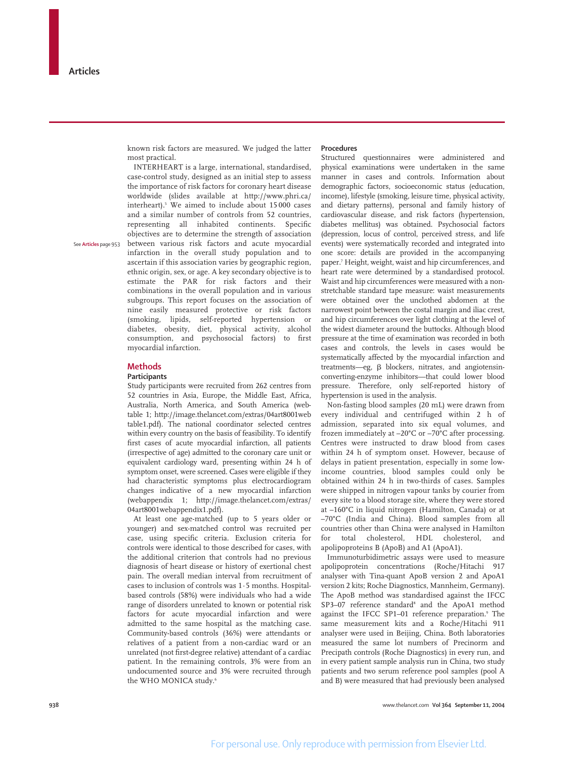known risk factors are measured. We judged the latter most practical.

INTERHEART is a large, international, standardised, case-control study, designed as an initial step to assess the importance of risk factors for coronary heart disease worldwide (slides available at http://www.phri.ca/ interheart).<sup>5</sup> We aimed to include about 15000 cases and a similar number of controls from 52 countries, representing all inhabited continents. Specific objectives are to determine the strength of association between various risk factors and acute myocardial infarction in the overall study population and to ascertain if this association varies by geographic region, ethnic origin, sex, or age. A key secondary objective is to estimate the PAR for risk factors and their combinations in the overall population and in various subgroups. This report focuses on the association of nine easily measured protective or risk factors (smoking, lipids, self-reported hypertension or diabetes, obesity, diet, physical activity, alcohol consumption, and psychosocial factors) to first myocardial infarction.

See **Articles** page 953

# **Methods**

# **Participants**

Study participants were recruited from 262 centres from 52 countries in Asia, Europe, the Middle East, Africa, Australia, North America, and South America (webtable 1; http://image.thelancet.com/extras/04art8001web table1.pdf). The national coordinator selected centres within every country on the basis of feasibility. To identify first cases of acute myocardial infarction, all patients (irrespective of age) admitted to the coronary care unit or equivalent cardiology ward, presenting within 24 h of symptom onset, were screened. Cases were eligible if they had characteristic symptoms plus electrocardiogram changes indicative of a new myocardial infarction (webappendix 1; http://image.thelancet.com/extras/ 04art8001webappendix1.pdf).

At least one age-matched (up to 5 years older or younger) and sex-matched control was recruited per case, using specific criteria. Exclusion criteria for controls were identical to those described for cases, with the additional criterion that controls had no previous diagnosis of heart disease or history of exertional chest pain. The overall median interval from recruitment of cases to inclusion of controls was 1·5 months. Hospitalbased controls (58%) were individuals who had a wide range of disorders unrelated to known or potential risk factors for acute myocardial infarction and were admitted to the same hospital as the matching case. Community-based controls (36%) were attendants or relatives of a patient from a non-cardiac ward or an unrelated (not first-degree relative) attendant of a cardiac patient. In the remaining controls, 3% were from an undocumented source and 3% were recruited through the WHO MONICA study.<sup>6</sup>

#### **Procedures**

Structured questionnaires were administered and physical examinations were undertaken in the same manner in cases and controls. Information about demographic factors, socioeconomic status (education, income), lifestyle (smoking, leisure time, physical activity, and dietary patterns), personal and family history of cardiovascular disease, and risk factors (hypertension, diabetes mellitus) was obtained. Psychosocial factors (depression, locus of control, perceived stress, and life events) were systematically recorded and integrated into one score: details are provided in the accompanying paper.7 Height, weight, waist and hip circumferences, and heart rate were determined by a standardised protocol. Waist and hip circumferences were measured with a nonstretchable standard tape measure: waist measurements were obtained over the unclothed abdomen at the narrowest point between the costal margin and iliac crest, and hip circumferences over light clothing at the level of the widest diameter around the buttocks. Although blood pressure at the time of examination was recorded in both cases and controls, the levels in cases would be systematically affected by the myocardial infarction and  $t$ reatments—eg,  $\beta$  blockers, nitrates, and angiotensinconverting-enzyme inhibitors—that could lower blood pressure. Therefore, only self-reported history of hypertension is used in the analysis.

Non-fasting blood samples (20 mL) were drawn from every individual and centrifuged within 2 h of admission, separated into six equal volumes, and frozen immediately at –20°C or –70°C after processing. Centres were instructed to draw blood from cases within 24 h of symptom onset. However, because of delays in patient presentation, especially in some lowincome countries, blood samples could only be obtained within 24 h in two-thirds of cases. Samples were shipped in nitrogen vapour tanks by courier from every site to a blood storage site, where they were stored at –160°C in liquid nitrogen (Hamilton, Canada) or at –70°C (India and China). Blood samples from all countries other than China were analysed in Hamilton for total cholesterol, HDL cholesterol, and apolipoproteins B (ApoB) and A1 (ApoA1).

Immunoturbidimetric assays were used to measure apolipoprotein concentrations (Roche/Hitachi 917 analyser with Tina-quant ApoB version 2 and ApoA1 version 2 kits; Roche Diagnostics, Mannheim, Germany). The ApoB method was standardised against the IFCC SP3-07 reference standard<sup>8</sup> and the ApoA1 method against the IFCC SP1-01 reference preparation.<sup>9</sup> The same measurement kits and a Roche/Hitachi 911 analyser were used in Beijing, China. Both laboratories measured the same lot numbers of Precinorm and Precipath controls (Roche Diagnostics) in every run, and in every patient sample analysis run in China, two study patients and two serum reference pool samples (pool A and B) were measured that had previously been analysed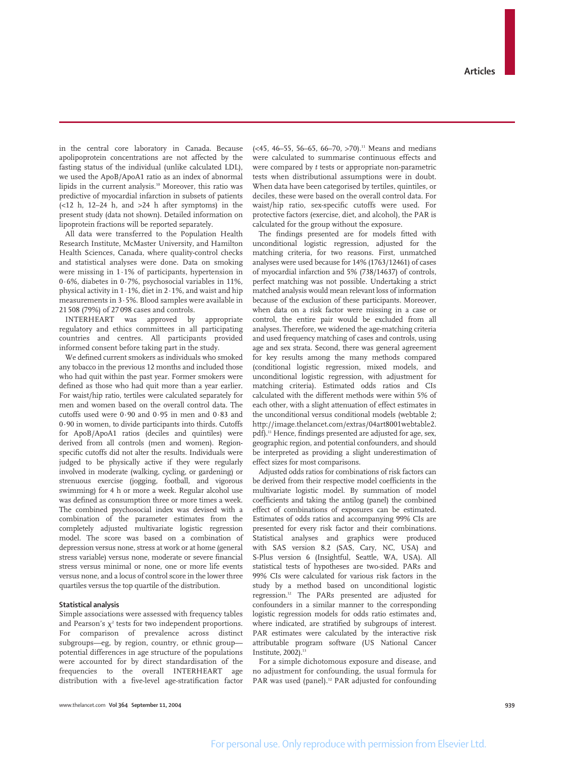in the central core laboratory in Canada. Because apolipoprotein concentrations are not affected by the fasting status of the individual (unlike calculated LDL), we used the ApoB/ApoA1 ratio as an index of abnormal lipids in the current analysis.10 Moreover, this ratio was predictive of myocardial infarction in subsets of patients  $(-12 h, 12-24 h, and >24 h after symptoms) in the$ present study (data not shown). Detailed information on lipoprotein fractions will be reported separately.

All data were transferred to the Population Health Research Institute, McMaster University, and Hamilton Health Sciences, Canada, where quality-control checks and statistical analyses were done. Data on smoking were missing in 1·1% of participants, hypertension in 0·6%, diabetes in 0·7%, psychosocial variables in 11%, physical activity in 1·1%, diet in 2·1%, and waist and hip measurements in 3·5%. Blood samples were available in 21 508 (79%) of 27 098 cases and controls.

INTERHEART was approved by appropriate regulatory and ethics committees in all participating countries and centres. All participants provided informed consent before taking part in the study.

We defined current smokers as individuals who smoked any tobacco in the previous 12 months and included those who had quit within the past year. Former smokers were defined as those who had quit more than a year earlier. For waist/hip ratio, tertiles were calculated separately for men and women based on the overall control data. The cutoffs used were 0·90 and 0·95 in men and 0·83 and 0·90 in women, to divide participants into thirds. Cutoffs for ApoB/ApoA1 ratios (deciles and quintiles) were derived from all controls (men and women). Regionspecific cutoffs did not alter the results. Individuals were judged to be physically active if they were regularly involved in moderate (walking, cycling, or gardening) or strenuous exercise (jogging, football, and vigorous swimming) for 4 h or more a week. Regular alcohol use was defined as consumption three or more times a week. The combined psychosocial index was devised with a combination of the parameter estimates from the completely adjusted multivariate logistic regression model. The score was based on a combination of depression versus none, stress at work or at home (general stress variable) versus none, moderate or severe financial stress versus minimal or none, one or more life events versus none, and a locus of control score in the lower three quartiles versus the top quartile of the distribution.

# **Statistical analysis**

Simple associations were assessed with frequency tables and Pearson's  $\chi^2$  tests for two independent proportions. For comparison of prevalence across distinct subgroups—eg, by region, country, or ethnic group potential differences in age structure of the populations were accounted for by direct standardisation of the frequencies to the overall INTERHEART age distribution with a five-level age-stratification factor (<45, 46-55, 56-65, 66-70, >70).<sup>11</sup> Means and medians were calculated to summarise continuous effects and were compared by *t* tests or appropriate non-parametric tests when distributional assumptions were in doubt. When data have been categorised by tertiles, quintiles, or deciles, these were based on the overall control data. For waist/hip ratio, sex-specific cutoffs were used. For protective factors (exercise, diet, and alcohol), the PAR is calculated for the group without the exposure.

The findings presented are for models fitted with unconditional logistic regression, adjusted for the matching criteria, for two reasons. First, unmatched analyses were used because for 14% (1763/12461) of cases of myocardial infarction and 5% (738/14637) of controls, perfect matching was not possible. Undertaking a strict matched analysis would mean relevant loss of information because of the exclusion of these participants. Moreover, when data on a risk factor were missing in a case or control, the entire pair would be excluded from all analyses. Therefore, we widened the age-matching criteria and used frequency matching of cases and controls, using age and sex strata. Second, there was general agreement for key results among the many methods compared (conditional logistic regression, mixed models, and unconditional logistic regression, with adjustment for matching criteria). Estimated odds ratios and CIs calculated with the different methods were within 5% of each other, with a slight attenuation of effect estimates in the unconditional versus conditional models (webtable 2; http://image.thelancet.com/extras/04art8001webtable2. pdf).<sup>11</sup> Hence, findings presented are adjusted for age, sex, geographic region, and potential confounders, and should be interpreted as providing a slight underestimation of effect sizes for most comparisons.

Adjusted odds ratios for combinations of risk factors can be derived from their respective model coefficients in the multivariate logistic model. By summation of model coefficients and taking the antilog (panel) the combined effect of combinations of exposures can be estimated. Estimates of odds ratios and accompanying 99% CIs are presented for every risk factor and their combinations. Statistical analyses and graphics were produced with SAS version 8.2 (SAS, Cary, NC, USA) and S-Plus version 6 (Insightful, Seattle, WA, USA). All statistical tests of hypotheses are two-sided. PARs and 99% CIs were calculated for various risk factors in the study by a method based on unconditional logistic regression.12 The PARs presented are adjusted for confounders in a similar manner to the corresponding logistic regression models for odds ratio estimates and, where indicated, are stratified by subgroups of interest. PAR estimates were calculated by the interactive risk attributable program software (US National Cancer Institute, 2002).13

For a simple dichotomous exposure and disease, and no adjustment for confounding, the usual formula for PAR was used (panel).<sup>12</sup> PAR adjusted for confounding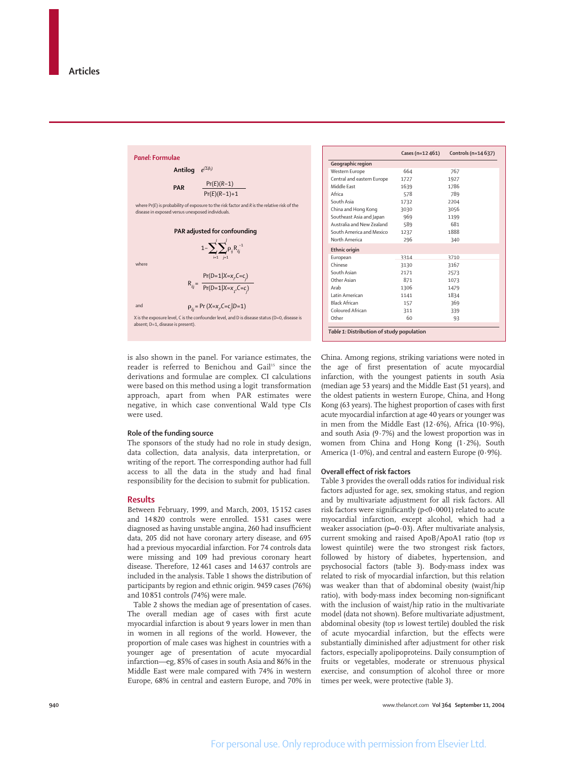

|                            | Cases (n=12 461) | Controls (n=14637) |
|----------------------------|------------------|--------------------|
| Geographic region          |                  |                    |
| Western Europe             | 664              | 767                |
| Central and eastern Europe | 1727             | 1927               |
| Middle Fast                | 1639             | 1786               |
| Africa                     | 578              | 789                |
| South Asia                 | 1732             | 2204               |
| China and Hong Kong        | 3030             | 3056               |
| Southeast Asia and Japan   | 969              | 1199               |
| Australia and New Zealand  | 589              | 681                |
| South America and Mexico   | 1237             | 1888               |
| North America              | 296              | 340                |
| <b>Ethnic origin</b>       |                  |                    |
| European                   | 3314             | 3710               |
| Chinese                    | 3130             | 3167               |
| South Asian                | 2171             | 2573               |
| Other Asian                | 871              | 1073               |
| Arab                       | 1306             | 1479               |
| Latin American             | 1141             | 1834               |
| <b>Black African</b>       | 157              | 369                |
| Coloured African           | 311              | 339                |
| Other                      | 60               | 93                 |

is also shown in the panel. For variance estimates, the reader is referred to Benichou and Gail<sup>15</sup> since the derivations and formulae are complex. CI calculations were based on this method using a logit transformation approach, apart from when PAR estimates were negative, in which case conventional Wald type CIs were used.

# **Role of the funding source**

The sponsors of the study had no role in study design, data collection, data analysis, data interpretation, or writing of the report. The corresponding author had full access to all the data in the study and had final responsibility for the decision to submit for publication.

#### **Results**

Between February, 1999, and March, 2003, 15 152 cases and 14 820 controls were enrolled. 1531 cases were diagnosed as having unstable angina, 260 had insufficient data, 205 did not have coronary artery disease, and 695 had a previous myocardial infarction. For 74 controls data were missing and 109 had previous coronary heart disease. Therefore, 12 461 cases and 14 637 controls are included in the analysis. Table 1 shows the distribution of participants by region and ethnic origin. 9459 cases (76%) and 10851 controls (74%) were male.

Table 2 shows the median age of presentation of cases. The overall median age of cases with first acute myocardial infarction is about 9 years lower in men than in women in all regions of the world. However, the proportion of male cases was highest in countries with a younger age of presentation of acute myocardial infarction—eg, 85% of cases in south Asia and 86% in the Middle East were male compared with 74% in western Europe, 68% in central and eastern Europe, and 70% in China. Among regions, striking variations were noted in the age of first presentation of acute myocardial infarction, with the youngest patients in south Asia (median age 53 years) and the Middle East (51 years), and the oldest patients in western Europe, China, and Hong Kong (63 years). The highest proportion of cases with first acute myocardial infarction at age 40 years or younger was in men from the Middle East  $(12.6\%)$ , Africa  $(10.9\%)$ , and south Asia (9·7%) and the lowest proportion was in women from China and Hong Kong (1·2%), South America (1 $\cdot$ 0%), and central and eastern Europe (0 $\cdot$ 9%).

## **Overall effect of risk factors**

Table 3 provides the overall odds ratios for individual risk factors adjusted for age, sex, smoking status, and region and by multivariate adjustment for all risk factors. All risk factors were significantly (p<0·0001) related to acute myocardial infarction, except alcohol, which had a weaker association ( $p=0.03$ ). After multivariate analysis, current smoking and raised ApoB/ApoA1 ratio (top *vs* lowest quintile) were the two strongest risk factors, followed by history of diabetes, hypertension, and psychosocial factors (table 3). Body-mass index was related to risk of myocardial infarction, but this relation was weaker than that of abdominal obesity (waist/hip ratio), with body-mass index becoming non-significant with the inclusion of waist/hip ratio in the multivariate model (data not shown). Before multivariate adjustment, abdominal obesity (top *vs* lowest tertile) doubled the risk of acute myocardial infarction, but the effects were substantially diminished after adjustment for other risk factors, especially apolipoproteins. Daily consumption of fruits or vegetables, moderate or strenuous physical exercise, and consumption of alcohol three or more times per week, were protective (table 3).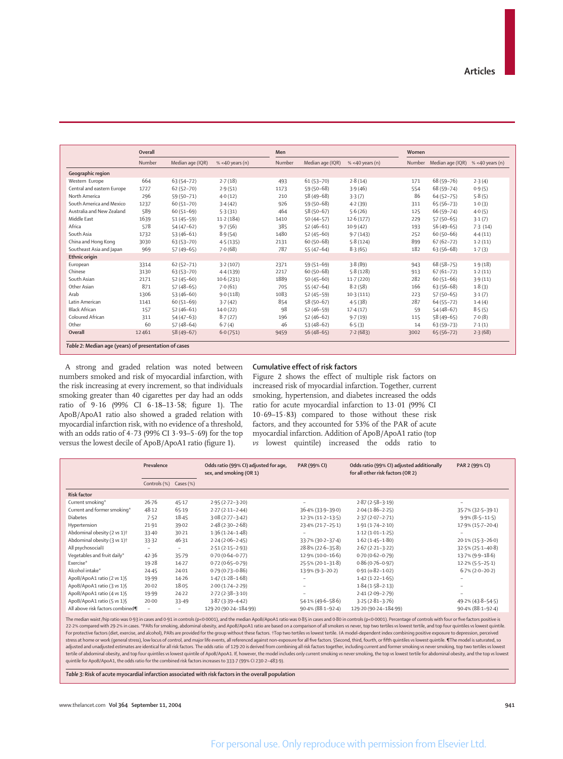|                            | Overall |                  |                   | Men    |                  |                   | Women |                         |                   |  |
|----------------------------|---------|------------------|-------------------|--------|------------------|-------------------|-------|-------------------------|-------------------|--|
|                            | Number  | Median age (IQR) | $% <40$ years (n) | Number | Median age (IQR) | $% <40$ years (n) |       | Number Median age (IQR) | $% <40$ years (n) |  |
| Geographic region          |         |                  |                   |        |                  |                   |       |                         |                   |  |
| Western Europe             | 664     | $63(54 - 72)$    | 2.7(18)           | 493    | $61(53 - 70)$    | 2.8(14)           | 171   | 68 (59-76)              | 2.3(4)            |  |
| Central and eastern Europe | 1727    | $62(52 - 70)$    | 2.9(51)           | 1173   | $59(50-68)$      | 3.9(46)           | 554   | 68 (59-74)              | 0.9(5)            |  |
| North America              | 296     | 59 (50-71)       | 4.0(12)           | 210    | $58(49-68)$      | 3.3(7)            | 86    | $64(52 - 75)$           | 5.8(5)            |  |
| South America and Mexico   | 1237    | $60(51 - 70)$    | 3.4(42)           | 926    | $59(50-68)$      | 4.2(39)           | 311   | $65(56-73)$             | 1.0(3)            |  |
| Australia and New Zealand  | 589     | $60(51-69)$      | 5.3(31)           | 464    | 58 (50-67)       | 5.6(26)           | 125   | 66 (59-74)              | 4.0(5)            |  |
| Middle East                | 1639    | $51(45-59)$      | 11.2(184)         | 1410   | $50(44-57)$      | 12.6(177)         | 229   | $57(50-65)$             | 3.1(7)            |  |
| Africa                     | 578     | $54(47-62)$      | 9.7(56)           | 385    | $52(46-61)$      | 10.9(42)          | 193   | $56(49-65)$             | 7.3(14)           |  |
| South Asia                 | 1732    | $53(46-61)$      | 8.9(54)           | 1480   | $52(45-60)$      | 9.7(143)          | 252   | $60(50-66)$             | 4.4(11)           |  |
| China and Hong Kong        | 3030    | 63 (53-70)       | 4.5(135)          | 2131   | $60(50-68)$      | 5.8(124)          | 899   | $67(62 - 72)$           | 1.2(11)           |  |
| Southeast Asia and Japan   | 969     | $57(49-65)$      | 7.0(68)           | 787    | $55(47-64)$      | 8.3(65)           | 182   | $63(56-68)$             | 1.7(3)            |  |
| Ethnic origin              |         |                  |                   |        |                  |                   |       |                         |                   |  |
| European                   | 3314    | $62(52 - 71)$    | 3.2(107)          | 2371   | $59(51-69)$      | 3.8(89)           | 943   | $68(58-75)$             | 1.9(18)           |  |
| Chinese                    | 3130    | $63(53 - 70)$    | 4.4(139)          | 2217   | $60(50-68)$      | 5.8(128)          | 913   | $67(61 - 72)$           | 1.2(11)           |  |
| South Asian                | 2171    | $52(45-60)$      | 10.6(231)         | 1889   | $50(45-60)$      | 11.7(220)         | 282   | $60(51-66)$             | 3.9(11)           |  |
| Other Asian                | 871     | $57(48-65)$      | 7.0(61)           | 705    | $55(47-64)$      | 8.2(58)           | 166   | $63(56-68)$             | 1.8(3)            |  |
| Arab                       | 1306    | $53(46-60)$      | 9.0(118)          | 1083   | $52(45-59)$      | $10-3(111)$       | 223   | $57(50-65)$             | 3.1(7)            |  |
| Latin American             | 1141    | $60(51-69)$      | 3.7(42)           | 854    | $58(50-67)$      | 4.5(38)           | 287   | $64(55 - 72)$           | 1.4(4)            |  |
| <b>Black African</b>       | 157     | $52(46-61)$      | 14.0(22)          | 98     | $52(46-59)$      | 17.4(17)          | 59    | 54 (48-67)              | 8.5(5)            |  |
| Coloured African           | 311     | $54(47-63)$      | 8.7(27)           | 196    | $52(46-62)$      | 9.7(19)           | 115   | $58(49-65)$             | 7.0(8)            |  |
| Other                      | 60      | $57(48-64)$      | 6.7(4)            | 46     | $53(48-62)$      | 6.5(3)            | 14    | $63(59 - 73)$           | 7.1(1)            |  |
| Overall                    | 12461   | $58(49-67)$      | 6.0(751)          | 9459   | $56(48-65)$      | 7.2(683)          | 3002  | $65(56-72)$             | 2.3(68)           |  |

A strong and graded relation was noted between numbers smoked and risk of myocardial infarction, with the risk increasing at every increment, so that individuals smoking greater than 40 cigarettes per day had an odds ratio of 9·16 (99% CI 6·18–13·58; figure 1). The ApoB/ApoA1 ratio also showed a graded relation with myocardial infarction risk, with no evidence of a threshold, with an odds ratio of 4·73 (99% CI 3·93–5·69) for the top versus the lowest decile of ApoB/ApoA1 ratio (figure 1).

# **Cumulative effect of risk factors**

Figure 2 shows the effect of multiple risk factors on increased risk of myocardial infarction. Together, current smoking, hypertension, and diabetes increased the odds ratio for acute myocardial infarction to 13·01 (99% CI 10·69–15·83) compared to those without these risk factors, and they accounted for 53% of the PAR of acute myocardial infarction. Addition of ApoB/ApoA1 ratio (top *vs* lowest quintile) increased the odds ratio to

|                                         | Prevalence               |                          | Odds ratio (99% CI) adjusted for age,<br>sex, and smoking (OR 1) |                          | Odds ratio (99% CI) adjusted additionally<br>for all other risk factors (OR 2) | PAR 2 (99% CI)           |
|-----------------------------------------|--------------------------|--------------------------|------------------------------------------------------------------|--------------------------|--------------------------------------------------------------------------------|--------------------------|
|                                         | Controls (%) Cases (%)   |                          |                                                                  |                          |                                                                                |                          |
| <b>Risk factor</b>                      |                          |                          |                                                                  |                          |                                                                                |                          |
| Current smoking*                        | 26.76                    | 45.17                    | $2.95(2.72-3.20)$                                                | $\overline{\phantom{a}}$ | $2.87(2.58-3.19)$                                                              | $\overline{\phantom{a}}$ |
| Current and former smoking*             | 48.12                    | 65.19                    | $2.27(2.11-2.44)$                                                | 36.4% (33.9-39.0)        | $2.04(1.86 - 2.25)$                                                            | 35.7% (32.5-39.1)        |
| <b>Diabetes</b>                         | 7.52                     | 18.45                    | $3.08(2.77 - 3.42)$                                              | $12.3\%$ (11.2-13.5)     | $2.37(2.07 - 2.71)$                                                            | $9.9\%$ (8-5-11.5)       |
| Hypertension                            | 21.91                    | 39.02                    | $2.48(2.30-2.68)$                                                | 23.4% (21.7-25.1)        | $1.91(1.74 - 2.10)$                                                            | 17.9% (15.7-20.4)        |
| Abdominal obesity (2 vs 1) <sup>+</sup> | 33.40                    | 30.21                    | $1.36(1.24 - 1.48)$                                              | $\overline{\phantom{a}}$ | $1.12(1.01 - 1.25)$                                                            |                          |
| Abdominal obesity (3 vs 1) <sup>+</sup> | 33.32                    | 46.31                    | $2.24(2.06-2.45)$                                                | 33.7% (30.2-37.4)        | $1.62(1.45 - 1.80)$                                                            | $20.1\% (15.3 - 26.0)$   |
| All psychosocial‡                       | -                        | $\overline{\phantom{a}}$ | $2.51(2.15-2.93)$                                                | $28.8\%$ (22.6–35.8)     | $2.67(2.21-3.22)$                                                              | $32.5\% (25.1 - 40.8)$   |
| Vegetables and fruit daily*             | 42.36                    | 35.79                    | $0.70(0.64 - 0.77)$                                              | $12.9\%$ (10.0-16.6)     | $0.70(0.62 - 0.79)$                                                            | $13.7\%$ (9.9-18.6)      |
| Exercise*                               | 19.28                    | 14.27                    | $0.72(0.65 - 0.79)$                                              | $25.5\% (20.1 - 31.8)$   | $0.86(0.76 - 0.97)$                                                            | $12.2\% (5.5 - 25.1)$    |
| Alcohol intake*                         | 24.45                    | 24.01                    | $0.79(0.73 - 0.86)$                                              | 13.9% (9.3-20.2)         | $0.91(0.82 - 1.02)$                                                            | $6.7\%$ (2.0-20.2)       |
| ApoB/ApoA1 ratio (2 vs 1) §             | 19.99                    | 14.26                    | $1.47(1.28 - 1.68)$                                              |                          | $1.42(1.22 - 1.65)$                                                            |                          |
| ApoB/ApoA1 ratio (3 vs 1) §             | 20.02                    | 18.05                    | $2.00(1.74 - 2.29)$                                              | $\overline{\phantom{a}}$ | $1.84(1.58-2.13)$                                                              | $\overline{\phantom{a}}$ |
| ApoB/ApoA1 ratio (4 vs 1) §             | 19.99                    | 24.22                    | $2.72(2.38-3.10)$                                                | $\overline{\phantom{a}}$ | $2.41(2.09 - 2.79)$                                                            |                          |
| ApoB/ApoA1 ratio (5 vs 1) §             | 20.00                    | 33-49                    | $3.87(3.39 - 4.42)$                                              | 54.1% (49.6-58.6)        | $3.25(2.81 - 3.76)$                                                            | 49.2% (43.8-54.5)        |
| All above risk factors combined¶        | $\overline{\phantom{a}}$ |                          | 129-20 (90-24-184-99)                                            | 90.4% (88.1-92.4)        | 129.20 (90.24-184.99)                                                          | $90.4\%$ (88.1-92.4)     |

The median waist /hip ratio was 0·93 in cases and 0·91 in controls (p<0-0001), and the median ApoB/ApoA1 ratio was 0·85 in cases and 0·80 in controls (p<0-0001). Percentage of controls with four or five factors positive is 22-2% compared with 29-2% in cases. \*PARs for smoking, abdominal obesity, and ApoB/ApoA1 ratio are based on a comparison of all smokers vs never, top two tertiles vs lowest tertile, and top four quintiles vs lowest quintil stress at home or work (general stress), low locus of control, and major life events, all referenced against non-exposure for all five factors. SSecond, third, fourth, or fifth quintiles vs lowest quintile. IThe model is s adjusted and unadjusted estimates are identical for all risk factors. The odds ratio of 129-20 is derived from combining all risk factors together, including current and former smoking vs never smoking, top two tertiles vs tertile of abdominal obesity, and top four quintiles vs lowest quintile of ApoB/ApoA1. If, however, the model includes only current smoking vs never smoking, the top vs lowest tertile for abdominal obesity, and the top vs quintile for ApoB/ApoA1, the odds ratio for the combined risk factors increases to 333·7 (99% CI 230·2–483·9).

*Table 3:* **Risk of acute myocardial infarction associated with risk factors in the overall population**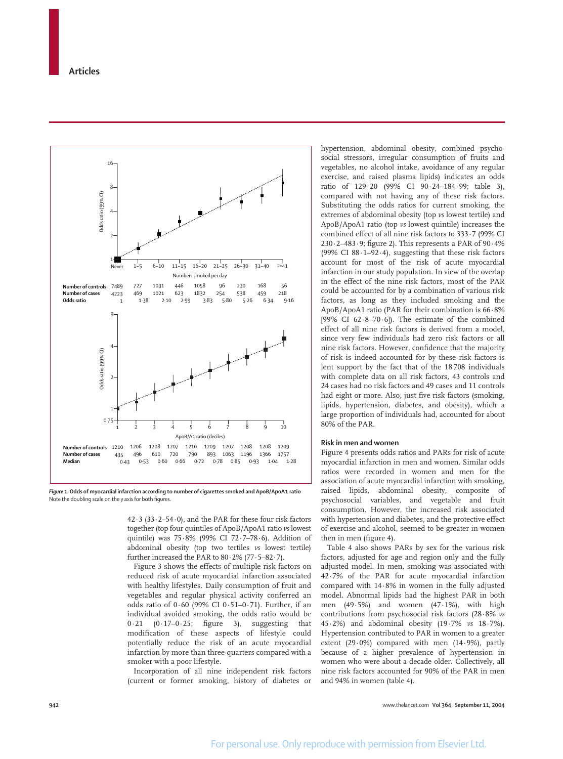

*Figure 1:* **Odds of myocardial infarction according to number of cigarettes smoked and ApoB/ApoA1 ratio**  Note the doubling scale on the y axis for both figures.

42·3 (33·2–54·0), and the PAR for these four risk factors together (top four quintiles of ApoB/ApoA1 ratio *vs* lowest quintile) was 75·8% (99% CI 72·7–78·6). Addition of abdominal obesity (top two tertiles *vs* lowest tertile) further increased the PAR to  $80.2\%$  (77 $.5-82.7$ ).

Figure 3 shows the effects of multiple risk factors on reduced risk of acute myocardial infarction associated with healthy lifestyles. Daily consumption of fruit and vegetables and regular physical activity conferred an odds ratio of 0·60 (99% CI 0·51–0·71). Further, if an individual avoided smoking, the odds ratio would be  $0.21$   $(0.17-0.25;$  figure 3), suggesting that modification of these aspects of lifestyle could potentially reduce the risk of an acute myocardial infarction by more than three-quarters compared with a smoker with a poor lifestyle.

Incorporation of all nine independent risk factors (current or former smoking, history of diabetes or hypertension, abdominal obesity, combined psychosocial stressors, irregular consumption of fruits and vegetables, no alcohol intake, avoidance of any regular exercise, and raised plasma lipids) indicates an odds ratio of 129·20 (99% CI 90·24–184·99; table 3)**,** compared with not having any of these risk factors. Substituting the odds ratios for current smoking, the extremes of abdominal obesity (top *vs* lowest tertile) and ApoB/ApoA1 ratio (top *vs* lowest quintile) increases the combined effect of all nine risk factors to 333·7 (99% CI 230·2–483·9; figure 2). This represents a PAR of 90·4% (99% CI 88·1–92·4), suggesting that these risk factors account for most of the risk of acute myocardial infarction in our study population. In view of the overlap in the effect of the nine risk factors, most of the PAR could be accounted for by a combination of various risk factors, as long as they included smoking and the ApoB/ApoA1 ratio (PAR for their combination is 66·8% [99% CI 62 $\cdot$ 8-70 $\cdot$ 6]). The estimate of the combined effect of all nine risk factors is derived from a model, since very few individuals had zero risk factors or all nine risk factors. However, confidence that the majority of risk is indeed accounted for by these risk factors is lent support by the fact that of the 18 708 individuals with complete data on all risk factors, 43 controls and 24 cases had no risk factors and 49 cases and 11 controls had eight or more. Also, just five risk factors (smoking, lipids, hypertension, diabetes, and obesity), which a large proportion of individuals had, accounted for about 80% of the PAR.

## **Risk in men and women**

Figure 4 presents odds ratios and PARs for risk of acute myocardial infarction in men and women. Similar odds ratios were recorded in women and men for the association of acute myocardial infarction with smoking, raised lipids, abdominal obesity, composite of psychosocial variables, and vegetable and fruit consumption. However, the increased risk associated with hypertension and diabetes, and the protective effect of exercise and alcohol, seemed to be greater in women then in men (figure 4).

Table 4 also shows PARs by sex for the various risk factors, adjusted for age and region only and the fully adjusted model. In men, smoking was associated with 42·7% of the PAR for acute myocardial infarction compared with 14·8% in women in the fully adjusted model. Abnormal lipids had the highest PAR in both men  $(49.5%)$  and women  $(47.1%)$ , with high contributions from psychosocial risk factors (28·8% *vs* 45·2%) and abdominal obesity (19·7% *vs* 18·7%). Hypertension contributed to PAR in women to a greater extent  $(29.0\%)$  compared with men  $(14.9\%)$ , partly because of a higher prevalence of hypertension in women who were about a decade older. Collectively, all nine risk factors accounted for 90% of the PAR in men and 94% in women (table 4).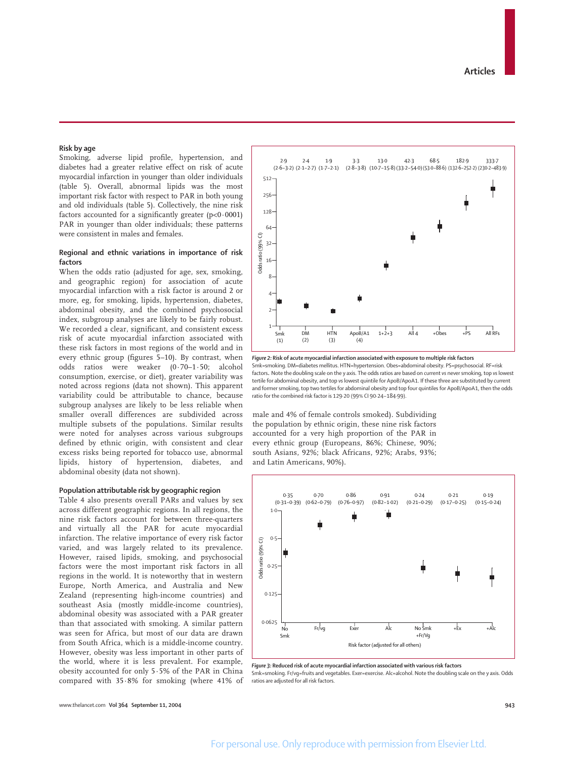#### **Risk by age**

Smoking, adverse lipid profile, hypertension, and diabetes had a greater relative effect on risk of acute myocardial infarction in younger than older individuals (table 5). Overall, abnormal lipids was the most important risk factor with respect to PAR in both young and old individuals (table 5). Collectively, the nine risk factors accounted for a significantly greater  $(p<0.0001)$ PAR in younger than older individuals; these patterns were consistent in males and females.

# **Regional and ethnic variations in importance of risk factors**

When the odds ratio (adjusted for age, sex, smoking, and geographic region) for association of acute myocardial infarction with a risk factor is around 2 or more, eg, for smoking, lipids, hypertension, diabetes, abdominal obesity, and the combined psychosocial index, subgroup analyses are likely to be fairly robust. We recorded a clear, significant, and consistent excess risk of acute myocardial infarction associated with these risk factors in most regions of the world and in every ethnic group (figures 5–10). By contrast, when odds ratios were weaker (0·70–1·50; alcohol consumption, exercise, or diet), greater variability was noted across regions (data not shown). This apparent variability could be attributable to chance, because subgroup analyses are likely to be less reliable when smaller overall differences are subdivided across multiple subsets of the populations. Similar results were noted for analyses across various subgroups defined by ethnic origin, with consistent and clear excess risks being reported for tobacco use, abnormal lipids, history of hypertension, diabetes, and abdominal obesity (data not shown).

# **Population attributable risk by geographic region**

Table 4 also presents overall PARs and values by sex across different geographic regions. In all regions, the nine risk factors account for between three-quarters and virtually all the PAR for acute myocardial infarction. The relative importance of every risk factor varied, and was largely related to its prevalence. However, raised lipids, smoking, and psychosocial factors were the most important risk factors in all regions in the world. It is noteworthy that in western Europe, North America, and Australia and New Zealand (representing high-income countries) and southeast Asia (mostly middle-income countries), abdominal obesity was associated with a PAR greater than that associated with smoking. A similar pattern was seen for Africa, but most of our data are drawn from South Africa, which is a middle-income country. However, obesity was less important in other parts of the world, where it is less prevalent. For example, obesity accounted for only 5·5% of the PAR in China compared with 35·8% for smoking (where 41% of



*Figure 2:* **Risk of acute myocardial infarction associated with exposure to multiple risk factors**  Smk=smoking. DM=diabetes mellitus. HTN=hypertension. Obes=abdominal obesity. PS=psychosocial. RF=risk factors. Note the doubling scale on the y axis. The odds ratios are based on current *vs* never smoking, top *vs* lowest tertile for abdominal obesity, and top *vs* lowest quintile for ApoB/ApoA1. If these three are substituted by current and former smoking, top two tertiles for abdominal obesity and top four quintiles for ApoB/ApoA1, then the odds ratio for the combined risk factor is 129·20 (99% CI 90·24–184·99).

male and 4% of female controls smoked). Subdividing the population by ethnic origin, these nine risk factors accounted for a very high proportion of the PAR in every ethnic group (Europeans, 86%; Chinese, 90%; south Asians, 92%; black Africans, 92%; Arabs, 93%; and Latin Americans, 90%).



*Figure 3:* **Reduced risk of acute myocardial infarction associated with various risk factors**

Smk=smoking. Fr/vg=fruits and vegetables. Exer=exercise. Alc=alcohol. Note the doubling scale on the y axis. Odds ratios are adjusted for all risk factors.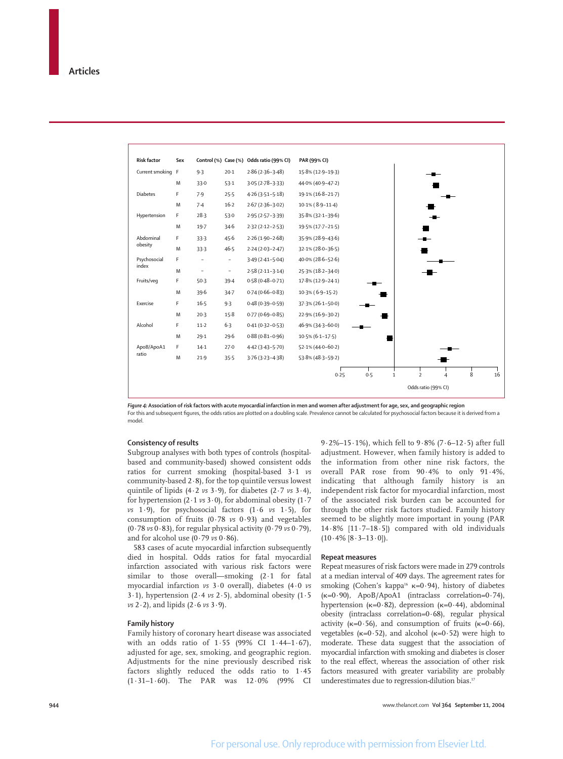| <b>Risk factor</b> | Sex |                |                          | Control (%) Case (%) Odds ratio (99% CI) | PAR (99% CI)                                                        |
|--------------------|-----|----------------|--------------------------|------------------------------------------|---------------------------------------------------------------------|
| Current smoking F  |     | 9.3            | $20-1$                   | $2.86(2.36-3.48)$                        | 15.8% (12.9-19.3)                                                   |
|                    | M   | 33.0           | 53.1                     | $3.05(2.78-3.33)$                        | 44.0% (40.9-47.2)                                                   |
| <b>Diabetes</b>    | F   | 7.9            | 25.5                     | $4.26(3.51 - 5.18)$                      | 19.1% (16.8-21.7)                                                   |
|                    | M   | $7-4$          | 16.2                     | $2.67(2.36-3.02)$                        | $10.1\%$ (8.9-11.4)                                                 |
| Hypertension       | F   | $28-3$         | 53.0                     | $2.95(2.57 - 3.39)$                      | 35.8% (32.1-39.6)                                                   |
|                    | M   | $19-7$         | 34.6                     | $2.32(2.12-2.53)$                        | 19.5% (17.7-21.5)                                                   |
| Abdominal          | F   | 33.3           | 45.6                     | $2.26(1.90-2.68)$                        | 35.9% (28.9-43.6)                                                   |
| obesity            | M   | 33.3           | 46.5                     | $2.24(2.03-2.47)$                        | $32.1\% (28.0 - 36.5)$                                              |
| Psychosocial       | F   | $\overline{a}$ | $\overline{\phantom{0}}$ | $3.49(2.41 - 5.04)$                      | 40.0% (28.6-52.6)                                                   |
| index              | M   | $\overline{a}$ | $\overline{\phantom{0}}$ | $2.58(2.11-3.14)$                        | 25.3% (18.2-34.0)                                                   |
| Fruits/veg         | F   | 50.3           | 39.4                     | $0.58(0.48 - 0.71)$                      | 17.8% (12.9-24.1)                                                   |
|                    | M   | 39.6           | $34 - 7$                 | $0.74(0.66 - 0.83)$                      | $10.3\%$ (6.9-15.2)                                                 |
| Exercise           | F   | $16-5$         | 9.3                      | $0.48(0.39 - 0.59)$                      | 37.3% (26.1-50.0)                                                   |
|                    | M   | 20.3           | 15.8                     | $0.77(0.69 - 0.85)$                      | 22.9% (16.9-30.2)                                                   |
| Alcohol            | F   | $11-2$         | 6.3                      | $0.41(0.32 - 0.53)$                      | 46.9% (34.3-60.0)                                                   |
|                    | M   | 29.1           | 29.6                     | $0.88(0.81 - 0.96)$                      | $10.5\% (6.1 - 17.5)$                                               |
| ApoB/ApoA1         | F   | $14-1$         | 27.0                     | $4.42(3.43 - 5.70)$                      | 52.1% (44.0-60.2)                                                   |
| ratio              | M   | 21.9           | 35.5                     | $3.76(3.23 - 4.38)$                      | 53.8% (48.3-59.2)                                                   |
|                    |     |                |                          |                                          | 8<br>0.25<br>0.5<br>$\overline{2}$<br>$1\,$<br>16<br>$\overline{4}$ |
|                    |     |                |                          |                                          | Odds ratio (99% CI)                                                 |

*Figure 4:* **Association of risk factors with acute myocardial infarction in men and women after adjustment for age, sex, and geographic region** For this and subsequent fiqures, the odds ratios are plotted on a doubling scale. Prevalence cannot be calculated for psychosocial factors because it is derived from a model.

# **Consistency of results**

Subgroup analyses with both types of controls (hospitalbased and community-based) showed consistent odds ratios for current smoking (hospital-based 3·1 *vs* community-based 2·8), for the top quintile versus lowest quintile of lipids (4·2 *vs* 3·9), for diabetes (2·7 *vs* 3·4), for hypertension  $(2 \cdot 1 \text{ vs } 3 \cdot 0)$ , for abdominal obesity  $(1 \cdot 7)$ *vs* 1·9), for psychosocial factors (1·6 *vs* 1·5), for consumption of fruits (0·78 *vs* 0·93) and vegetables (0·78 *vs* 0·83), for regular physical activity (0·79 *vs* 0·79), and for alcohol use (0·79 *vs* 0·86).

583 cases of acute myocardial infarction subsequently died in hospital. Odds ratios for fatal myocardial infarction associated with various risk factors were similar to those overall—smoking (2·1 for fatal myocardial infarction *vs* 3·0 overall), diabetes (4·0 *vs* 3·1), hypertension (2·4 *vs* 2·5), abdominal obesity (1·5 *vs* 2·2), and lipids (2·6 *vs* 3·9).

#### **Family history**

Family history of coronary heart disease was associated with an odds ratio of 1·55 (99% CI 1·44–1·67), adjusted for age, sex, smoking, and geographic region. Adjustments for the nine previously described risk factors slightly reduced the odds ratio to 1·45 (1·31–1·60). The PAR was 12·0% (99% CI

9·2%–15·1%), which fell to 9·8% (7·6–12·5) after full adjustment. However, when family history is added to the information from other nine risk factors, the overall PAR rose from 90·4% to only 91·4%, indicating that although family history is an independent risk factor for myocardial infarction, most of the associated risk burden can be accounted for through the other risk factors studied. Family history seemed to be slightly more important in young (PAR 14·8% [11·7–18·5]) compared with old individuals  $(10.4\%$  [8.3-13.0]).

### **Repeat measures**

Repeat measures of risk factors were made in 279 controls at a median interval of 409 days. The agreement rates for smoking (Cohen's kappa<sup>16</sup>  $\kappa$ =0·94), history of diabetes  $(\kappa=0.90)$ , ApoB/ApoA1 (intraclass correlation=0.74), hypertension  $(\kappa=0.82)$ , depression  $(\kappa=0.44)$ , abdominal obesity (intraclass correlation=0·68), regular physical activity ( $\kappa$ =0.56), and consumption of fruits ( $\kappa$ =0.66), vegetables ( $\kappa$ =0·52), and alcohol ( $\kappa$ =0·52) were high to moderate. These data suggest that the association of myocardial infarction with smoking and diabetes is closer to the real effect, whereas the association of other risk factors measured with greater variability are probably underestimates due to regression-dilution bias.<sup>17</sup>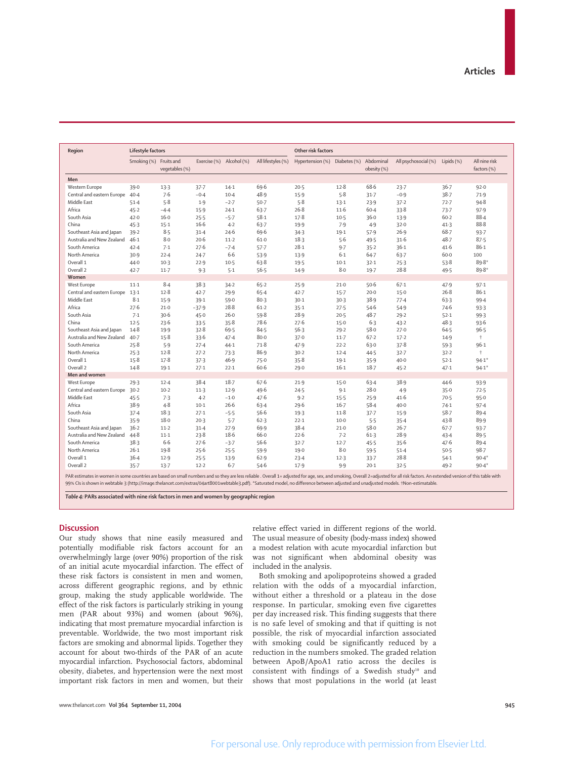| Region                          | Lifestyle factors      |                |          |                          |                    | Other risk factors                      |          |             |                      |            |                              |
|---------------------------------|------------------------|----------------|----------|--------------------------|--------------------|-----------------------------------------|----------|-------------|----------------------|------------|------------------------------|
|                                 | Smoking (%) Fruits and | vegetables (%) |          | Exercise (%) Alcohol (%) | All lifestyles (%) | Hypertension (%) Diabetes (%) Abdominal |          | obesity (%) | All psychosocial (%) | Lipids (%) | All nine risk<br>factors (%) |
| Men                             |                        |                |          |                          |                    |                                         |          |             |                      |            |                              |
| Western Europe                  | 39.0                   | 13.3           | $37 - 7$ | $14-1$                   | 69.6               | 20.5                                    | 12.8     | 68.6        | 23.7                 | $36 - 7$   | 92.0                         |
| Central and eastern Europe      | $40-4$                 | 7.6            | $-0.4$   | $10-4$                   | 48.9               | 15.9                                    | 5.8      | 31.7        | $-0.9$               | $38 - 7$   | 71.9                         |
| Middle East                     | $51-4$                 | 5.8            | 1.9      | $-2.7$                   | $50-7$             | 5.8                                     | 13.1     | 23.9        | $37 - 2$             | $72 - 7$   | $94 - 8$                     |
| Africa                          | $45 - 2$               | $-4.4$         | 15.9     | $24-1$                   | $63 - 7$           | 26.8                                    | 11.6     | $60-4$      | 33.8                 | 73.7       | 97.9                         |
| South Asia                      | 42.0                   | $16 - 0$       | 25.5     | $-5.7$                   | 58.1               | 17.8                                    | $10-5$   | 36.0        | 13.9                 | $60-2$     | $88-4$                       |
| China                           | 45.3                   | $15-1$         | $16-6$   | $4 - 2$                  | $63 - 7$           | 19.9                                    | 7.9      | 4.9         | 32.0                 | 41.3       | 88.8                         |
| Southeast Asia and Japan        | 39.2                   | 8.5            | 31.4     | $24-6$                   | 69.6               | 34.3                                    | 19.1     | 57.9        | 26.9                 | 68.7       | 93.7                         |
| Australia and New Zealand       | 46.1                   | 8.0            | 20.6     | $11-2$                   | 61.0               | 18.3                                    | 5.6      | 49.5        | 31.6                 | 48.7       | 87.5                         |
| South America                   | 42.4                   | 7.1            | 27.6     | $-7.4$                   | $57 - 7$           | 28.1                                    | 9.7      | $35 - 2$    | 36.1                 | 41.6       | 86.1                         |
| North America                   | 30.9                   | $22 - 4$       | $24 - 7$ | 6.6                      | 53.9               | 13.9                                    | 6.1      | $64 - 7$    | 63.7                 | $60 - 0$   | 100                          |
| Overall 1                       | 44.0                   | $10-3$         | 22.9     | $10-5$                   | 63.8               | 19.5                                    | $10-1$   | 32.1        | 25.3                 | 53.8       | 89.8*                        |
| Overall 2                       | $42 - 7$               | $11-7$         | 9.3      | 5.1                      | 56.5               | 14.9                                    | 8.0      | 19.7        | 28.8                 | 49.5       | $89.8*$                      |
| Women                           |                        |                |          |                          |                    |                                         |          |             |                      |            |                              |
| West Europe                     | $11-1$                 | 8.4            | 38.3     | 34.2                     | 65.2               | 25.9                                    | $21-0$   | $50-6$      | 67.1                 | 47.9       | 97.1                         |
| Central and eastern Europe 13-1 |                        | $12-8$         | $42 - 7$ | 29.9                     | $65 - 4$           | $42 - 7$                                | $15 - 7$ | $20 - 0$    | 15.0                 | 26.8       | 86.1                         |
| Middle East                     | 8.1                    | 15.9           | 39.1     | 59.0                     | 80.3               | 30.1                                    | 30.3     | 38.9        | 77.4                 | 63.3       | $99 - 4$                     |
| Africa                          | 27.6                   | 21.0           | $-37.9$  | 28.8                     | 61.2               | $35 - 1$                                | 27.5     | $54 - 6$    | 54.9                 | 74.6       | 93.3                         |
| South Asia                      | 7.1                    | $30-6$         | 45.0     | 26.0                     | 59.8               | 28.9                                    | 20.5     | 48.7        | 29.2                 | 52.1       | 99.3                         |
| China                           | 12.5                   | 23.6           | 33.5     | 35.8                     | 78.6               | 27.6                                    | 15.0     | 6.3         | 43.2                 | 48.3       | 93.6                         |
| Southeast Asia and Japan        | $14-8$                 | 19.9           | 32.8     | 69.5                     | $84 - 5$           | 56.3                                    | 29.2     | 58.0        | 27.0                 | 64.5       | 96.5                         |
| Australia and New Zealand       | $40-7$                 | $15-8$         | 33.6     | 47.4                     | $80 - 0$           | 37.0                                    | $11-7$   | 67.2        | $17-2$               | $14-9$     | $\ddagger$                   |
| South America                   | 25.8                   | 5.9            | $27-4$   | $44 - 1$                 | 71.8               | 47.9                                    | 22.2     | 63.0        | 37.8                 | 59.3       | 96.1                         |
| North America                   | 25.3                   | 12.8           | 27.2     | 73.3                     | 86.9               | 30.2                                    | $12-4$   | 44.5        | $32 - 7$             | 32.2       | $\ddagger$                   |
| Overall 1                       | $15-8$                 | 17.8           | 37.3     | 46.9                     | 75.0               | 35.8                                    | 19.1     | 35.9        | 40.0                 | 52.1       | $94.1*$                      |
| Overall 2                       | $14-8$                 | 19.1           | 27.1     | 22.1                     | 60.6               | 29.0                                    | $16-1$   | $18-7$      | $45 - 2$             | 47.1       | $94.1*$                      |
| Men and women                   |                        |                |          |                          |                    |                                         |          |             |                      |            |                              |
| West Europe                     | 29.3                   | $12-4$         | 38.4     | $18-7$                   | 67.6               | 21.9                                    | 15.0     | 63.4        | 38.9                 | 44.6       | 93.9                         |
| Central and eastern Europe      | 30.2                   | $10-2$         | $11-3$   | 12.9                     | 49.6               | 24.5                                    | 9.1      | 28.0        | 4.9                  | 35.0       | 72.5                         |
| Middle East                     | 45.5                   | 7.3            | $4-2$    | $-1.0$                   | 47.6               | 9.2                                     | $15-5$   | 25.9        | 41.6                 | $70-5$     | 95.0                         |
| Africa                          | 38.9                   | $4 - 8$        | $10-1$   | 26.6                     | 63.4               | 29.6                                    | $16-7$   | $58-4$      | 40.0                 | 74.1       | 97.4                         |
| South Asia                      | $37-4$                 | 18.3           | 27.1     | $-5.5$                   | 56.6               | 19.3                                    | $11-8$   | $37 - 7$    | 15.9                 | $58 - 7$   | $89 - 4$                     |
| China                           | 35.9                   | 18.0           | 20.3     | 5.7                      | 62.3               | 22.1                                    | $10-0$   | 5.5         | $35 - 4$             | 43.8       | 89.9                         |
| Southeast Asia and Japan        | 36.2                   | $11-2$         | 31.4     | 27.9                     | 69.9               | $38-4$                                  | 21.0     | 58.0        | $26 - 7$             | $67 - 7$   | $93 - 7$                     |
| Australia and New Zealand       | 44.8                   | $11-1$         | 23.8     | 18.6                     | 66.0               | 22.6                                    | 7.2      | 61.3        | 28.9                 | 43.4       | 89.5                         |
| South America                   | 38.3                   | 6.6            | 27.6     | $-3.7$                   | 56.6               | $32 - 7$                                | $12 - 7$ | 45.5        | 35.6                 | 47.6       | $89 - 4$                     |
| North America                   | $26-1$                 | 19.8           | 25.6     | 25.5                     | 59.9               | 19.0                                    | 8.0      | 59.5        | 51.4                 | $50-5$     | 98.7                         |
| Overall 1                       | $36-4$                 | 12.9           | 25.5     | 13.9                     | 62.9               | 23.4                                    | 12.3     | 33.7        | 28.8                 | $54-1$     | $90.4*$                      |
| Overall 2                       | $35 - 7$               | $13-7$         | 12.2     | 6.7                      | $54-6$             | 17.9                                    | 9.9      | 20.1        | 32.5                 | 49.2       | $90.4*$                      |

PAR estimates in women in some countries are based on small numbers and so they are less reliable . Overall 1= adjusted for age, sex, and smoking, Overall 2=adjusted for all risk factors. An extended version of this table

*Table 4:* **PARs associated with nine risk factors in men and women by geographic region** 

# **Discussion**

Our study shows that nine easily measured and potentially modifiable risk factors account for an overwhelmingly large (over 90%) proportion of the risk of an initial acute myocardial infarction. The effect of these risk factors is consistent in men and women, across different geographic regions, and by ethnic group, making the study applicable worldwide. The effect of the risk factors is particularly striking in young men (PAR about 93%) and women (about 96%), indicating that most premature myocardial infarction is preventable. Worldwide, the two most important risk factors are smoking and abnormal lipids. Together they account for about two-thirds of the PAR of an acute myocardial infarction. Psychosocial factors, abdominal obesity, diabetes, and hypertension were the next most important risk factors in men and women, but their

relative effect varied in different regions of the world. The usual measure of obesity (body-mass index) showed a modest relation with acute myocardial infarction but was not significant when abdominal obesity was included in the analysis.

Both smoking and apolipoproteins showed a graded relation with the odds of a myocardial infarction, without either a threshold or a plateau in the dose response. In particular, smoking even five cigarettes per day increased risk. This finding suggests that there is no safe level of smoking and that if quitting is not possible, the risk of myocardial infarction associated with smoking could be significantly reduced by a reduction in the numbers smoked. The graded relation between ApoB/ApoA1 ratio across the deciles is consistent with findings of a Swedish study<sup>10</sup> and shows that most populations in the world (at least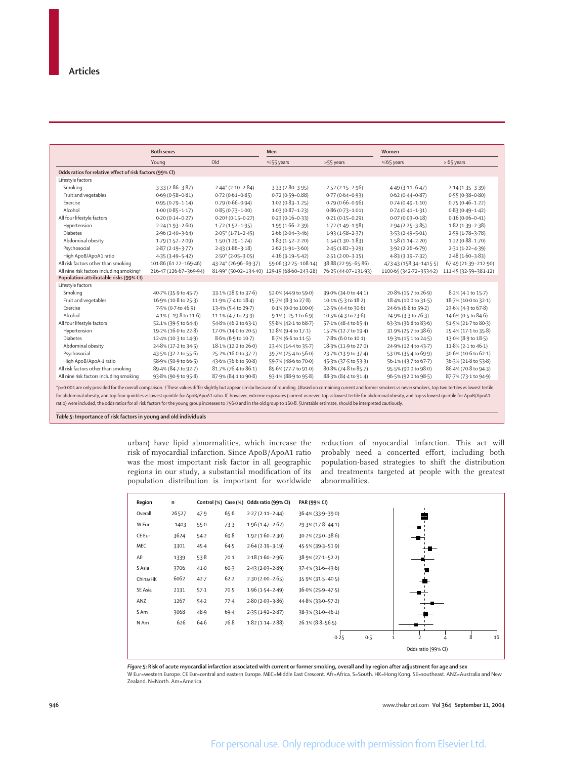|                                                          | <b>Both sexes</b>              |                        | Men                     |                      | Women                  |                       |  |
|----------------------------------------------------------|--------------------------------|------------------------|-------------------------|----------------------|------------------------|-----------------------|--|
|                                                          | Young                          | Old                    | $\leq$ 55 years         | >55 years            | ≤65 years              | $> 65$ years          |  |
| Odds ratios for relative effect of risk factors (99% Cl) |                                |                        |                         |                      |                        |                       |  |
| Lifestyle factors                                        |                                |                        |                         |                      |                        |                       |  |
| Smoking                                                  | $3.33(2.86 - 3.87)$            | $2.44*(2.10-2.84)$     | $3.33(2.80 - 3.95)$     | $2.52(2.15-2.96)$    | $4.49(3.11 - 6.47)$    | $2.14(1.35 - 3.39)$   |  |
| Fruit and vegetables                                     | $0.69(0.58 - 0.81)$            | $0.72(0.61 - 0.85)$    | $0.72(0.59 - 0.88)$     | $0.77(0.64 - 0.93)$  | $0.62(0.44 - 0.87)$    | $0.55(0.38 - 0.80)$   |  |
| Exercise                                                 | $0.95(0.79 - 1.14)$            | $0.79(0.66 - 0.94)$    | $1.02(0.83 - 1.25)$     | $0.79(0.66 - 0.96)$  | $0.74(0.49 - 1.10)$    | $0.75(0.46 - 1.22)$   |  |
| Alcohol                                                  | $1.00(0.85 - 1.17)$            | $0.85(0.73 - 1.00)$    | $1.03(0.87 - 1.23)$     | $0.86(0.73 - 1.01)$  | $0.74(0.41 - 1.31)$    | $0.83(0.49 - 1.42)$   |  |
| All four lifestyle factors                               | $0.20(0.14 - 0.27)$            | $0.20$ $(0.15 - 0.27)$ | $0.23(0.16 - 0.33)$     | $0.21(0.15 - 0.29)$  | $0.07(0.03 - 0.18)$    | $0.16(0.06 - 0.41)$   |  |
| Hypertension                                             | $2.24(1.93 - 2.60)$            | $1.72(1.52 - 1.95)$    | $1.99(1.66 - 2.39)$     | $1.72(1.49-1.98)$    | $2.94(2.25-3.85)$      | $1.82(1.39 - 2.38)$   |  |
| <b>Diabetes</b>                                          | $2.96(2.40-3.64)$              | $2.05* (1.71 - 2.45)$  | $2.66(2.04-3.46)$       | $1.93(1.58 - 2.37)$  | $3.53(2.49 - 5.01)$    | $2.59(1.78-3.78)$     |  |
| Abdominal obesity                                        | $1.79(1.52 - 2.09)$            | $1.50(1.29 - 1.74)$    | $1.83(1.52 - 2.20)$     | $1.54(1.30-1.83)$    | $1.58(1.14 - 2.20)$    | $1.22(0.88 - 1.70)$   |  |
| Psychosocial                                             | $2.87(2.19-3.77)$              | $2.43(1.86 - 3.18)$    | $2.62(1.91-3.60)$       | $2.45(1.82 - 3.29)$  | $3.92(2.26-6.79)$      | $2.31(1.22 - 4.39)$   |  |
| High ApoB/ApoA1 ratio                                    | $4.35(3.49 - 5.42)$            | $2.50*(2.05-3.05)$     | $4.16(3.19 - 5.42)$     | $2.51(2.00-3.15)$    | $4.83(3.19 - 7.32)$    | $2.48(1.60-3.83)$     |  |
| All risk factors other than smoking                      | 101.86 (61.22-169.46)          | 43.24* (26.96-69.37)   | 59.06 (32.25-108.14)    | 38.88 (22.95-65.86)  | 473.43 (158.34-1415.5) | 67.49 (21.39-212.90)  |  |
| All nine risk factors including smoking‡                 | 216-47 (126-67-369-94)         | 81.99* (50.02-134.40)  | 129-19 (68-60-243-28)   | 76.25 (44.07-131.93) | 1100.6 (342.72-3534.2) | 111.45 (32.59-381.12) |  |
| Population attributable risks (99% CI)                   |                                |                        |                         |                      |                        |                       |  |
| Lifestyle factors                                        |                                |                        |                         |                      |                        |                       |  |
| Smoking                                                  | 40.7% (35.9 to 45.7)           | 33.1% (28.9 to 37.6)   | 52.0% (44.9 to 59.0)    | 39.0% (34.0 to 44.1) | 20.8% (15.7 to 26.9)   | 8.2% (4.1 to 15.7)    |  |
| Fruit and vegetables                                     | 16.9% (10.8 to 25.3)           | 11.9% (7.4 to 18.4)    | 15.7% (8.3 to 27.8)     | 10.1% (5.3 to 18.2)  | 18.4% (10.0 to 31.5)   | 18.7% (10.0 to 32.1)  |  |
| Exercise                                                 | 7.5% (0.7.to 46.9)             | 13.4% (5.4 to 29.7)    | $0.1\%$ (0.0 to 100.0)  | 12.5% (4.4 to 30.6)  | 24.6% (6.8 to 59.2)    | 23.6% (4.3 to 67.8)   |  |
| Alcohol                                                  | $-4.1\%$ ( $-19.8$ to $11.6$ ) | 11.1% (4.7 to 23.9)    | $-9.1\% (-25.1$ to 6.9) | 10.5% (4.3 to 23.6)  | 24.9% (3.3 to 76.3)    | 14.6% (0.5 to 84.6)   |  |
| All four lifestyle factors                               | 52.1% (39.5 to 64.4)           | 54.8% (46.2 to 63.1)   | 55.8% (42.1 to 68.7)    | 57.1% (48.4 to 65.4) | 63.3% (36.8 to 83.6)   | 51.5% (21.7 to 80.3)  |  |
| Hypertension                                             | 19.2% (16.0 to 22.8)           | 17.0% (14.0 to 20.5)   | 12.8% (9.4 to 17.1)     | 15.7% (12.7 to 19.4) | 31.9% (25.7 to 38.6)   | 25.4% (17.1 to 35.8)  |  |
| <b>Diabetes</b>                                          | 12.4% (10.3 to 14.9)           | 8.6% (6.9 to 10.7)     | 8.7% (6.6 to 11.5)      | 7.8% (6.0 to 10.1)   | 19.3% (15.1 to 24.5)   | 13.0% (8.9 to 18.5)   |  |
| Abdominal obesity                                        | 24.8% (17.2 to 34.5)           | 18.1% (12.2 to 26.0)   | 23.4% (14.4 to 35.7)    | 18.3% (11.9 to 27.0) | 24.9% (12.4 to 43.7)   | 11.8% (2.1 to 46.1)   |  |
| Psychosocial                                             | 43.5% (32.2 to 55.6)           | 25.2% (16.0 to 37.2)   | 39.7% (25.4 to 56.0)    | 23.7% (13.9 to 37.4) | 53.0% (35.4 to 69.9)   | 30.6% (10.6 to 62.1)  |  |
| High ApoB/ApoA-1 ratio                                   | 58.9% (50.9 to 66.5)           | 43.6% (36.6 to 50.8)   | 59.7% (48.6 to 70.0)    | 45.3% (37.5 to 53.3) | 56.1% (43.7 to 67.7)   | 36.3% (21.8 to 53.8)  |  |
| All risk factors other than smoking                      | 89.4% (84.7 to 92.7)           | 81.7% (76.4 to 86.1)   | 85.6% (77.7 to 91.0)    | 80.8% (74.8 to 85.7) | 95.5% (90.0 to 98.0)   | 86.4% (70.8 to 94.3)  |  |
| All nine risk factors including smoking                  | 93.8% (90.9 to 95.8)           | 87.9% (84.1 to 90.8)   | 93.1% (88.9 to 95.8)    | 88-3% (84-4 to 91-4) | 96.5% (92.0 to 98.5)   | 87.7% (73.1 to 94.9)  |  |

\*p<0-001 are only provided for the overall comparison. †These values differ slightly but appear similar because of rounding. ‡Based on combining current and former smokers vs never smokers, top two tertiles vs lowest terti for abdominal obesity, and top four quintiles vs lowest quintile for ApoB/ApoA1 ratio. If, however, extreme exposures (current vs never, top vs lowest tertile for abdominal obesity, and top vs lowest quintile for ApoB/ApoA ratio) were included, the odds ratios for all risk factors for the young group increases to 756·0 and in the old group to 160·8. §Unstable estimate, should be interpreted cautiously.

*Table 5:* **Importance of risk factors in young and old individuals**

urban) have lipid abnormalities, which increase the risk of myocardial infarction. Since ApoB/ApoA1 ratio was the most important risk factor in all geographic regions in our study, a substantial modification of its population distribution is important for worldwide

reduction of myocardial infarction. This act will probably need a concerted effort, including both population-based strategies to shift the distribution and treatments targeted at people with the greatest abnormalities.

| Region   | n     |                  | Control (%) Case (%) Odds ratio (99% CI) | PAR (99% CI)                                             |
|----------|-------|------------------|------------------------------------------|----------------------------------------------------------|
| Overall  | 26527 | 65.6<br>47.9     | $2.27(2.11-2.44)$                        | 36.4% (33.9-39.0)                                        |
| W Eur    | 1403  | 73.3<br>55.0     | $1.96(1.47 - 2.62)$                      | 29.3% (17.8-44.1)                                        |
| CE Eur   | 3624  | 69.8<br>54.2     | $1.92(1.60 - 2.30)$                      | 30.2% (23.0-38.6)                                        |
| MEC      | 3301  | 64.5<br>45.4     | $2.64(2.19-3.19)$                        | 45.5% (39.3-51.9)                                        |
| Afr      | 1339  | 53.8<br>$70-1$   | $2.18(1.60 - 2.96)$                      | 38.9% (27.1-52.2)                                        |
| S Asia   | 3706  | $60-3$<br>41.0   | $2.43(2.03 - 2.89)$                      | 37.4% (31.6-43.6)                                        |
| China/HK | 6062  | 62.2<br>$42 - 7$ | $2.30(2.00-2.65)$                        | 35.9% (31.5-40.5)                                        |
| SE Asia  | 2131  | 57.1<br>70.5     | $1.96(1.54 - 2.49)$                      | 36.0% (25.9-47.5)                                        |
| ANZ      | 1267  | 54.2<br>77.4     | $2.80(2.03-3.86)$                        | 44.8% (33.0-57.2)                                        |
| S Am     | 3068  | 48.9<br>69.4     | $2.35(1.92 - 2.87)$                      | 38.3% (31.0-46.1)                                        |
| N Am     | 626   | 76.8<br>64.6     | $1.82(1.14 - 2.88)$                      | $26.1\% (8.8 - 56.5)$                                    |
|          |       |                  |                                          | 16<br>0.5<br>8<br>0.25<br>$\mathbf{1}$<br>$\overline{2}$ |
|          |       |                  |                                          | Odds ratio (99% CI)                                      |

*Figure 5:* **Risk of acute myocardial infarction associated with current or former smoking, overall and by region after adjustment for age and sex** W Eur=western Europe. CE Eur=central and eastern Europe. MEC=Middle East Crescent. Afr=Africa. S=South. HK=Hong Kong. SE=southeast. ANZ=Australia and New Zealand. N=North. Am=America.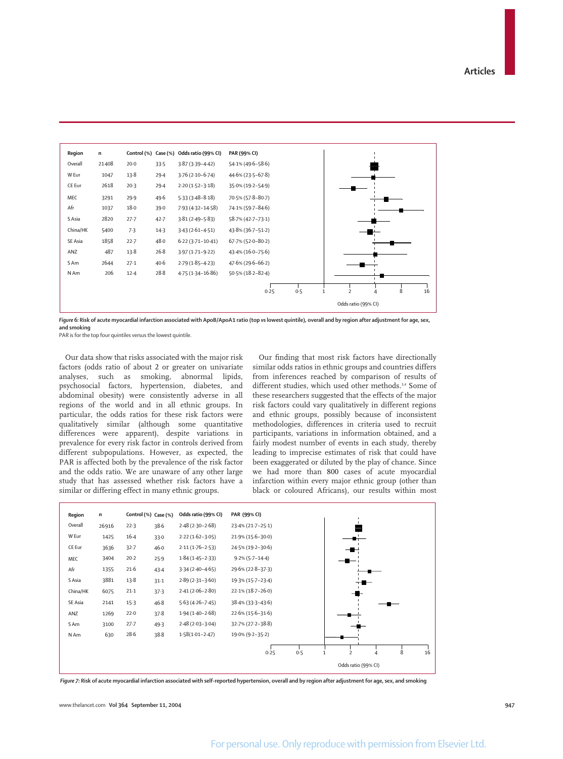| Region   | n     |          |          | Control (%) Case (%) Odds ratio (99% CI) | PAR (99% CI)                                                               |
|----------|-------|----------|----------|------------------------------------------|----------------------------------------------------------------------------|
| Overall  | 21408 | $20-0$   | 33.5     | $3.87(3.39 - 4.42)$                      | 54.1% (49.6-58.6)                                                          |
| W Eur    | 1047  | 13.8     | 29.4     | $3.76(2.10-6.74)$                        | 44.6% (23.5-67.8)                                                          |
| CE Eur   | 2618  | 20.3     | 29.4     | $2.20(1.52 - 3.18)$                      | 35.0% (19-2-54-9)                                                          |
| MEC      | 3291  | 29.9     | 49.6     | $5.33(3.48 - 8.18)$                      | 70.5% (57.8-80.7)                                                          |
| Afr      | 1037  | 18.0     | 39.0     | 7.93 (4.32-14.58)                        | 74.1% (59.7-84.6)                                                          |
| S Asia   | 2820  | $27 - 7$ | $42 - 7$ | $3.81(2.49 - 5.83)$                      | 58.7% (42.7-73.1)                                                          |
| China/HK | 5400  | 7.3      | $14-3$   | $3.43(2.61 - 4.51)$                      | 43.8% (36.7-51.2)                                                          |
| SE Asia  | 1858  | 22.7     | 48.0     | $6.22(3.71 - 10.41)$                     | 67.7% (52.0-80.2)                                                          |
| ANZ      | 487   | 13.8     | 26.8     | $3.97(1.71 - 9.22)$                      | 43.4% (16.0-75.6)                                                          |
| S Am     | 2644  | 27.1     | $40-6$   | $2.79(1.85 - 4.23)$                      | 47.6% (29.6-66.2)                                                          |
| N Am     | 206   | $12-4$   | 28.8     | $4.75(1.34 - 16.86)$                     | 50.5% (18.2-82.4)                                                          |
|          |       |          |          |                                          | 8<br>16<br>0.25<br>0.5<br>$\overline{2}$<br>$\mathbf{1}$<br>$\overline{4}$ |
|          |       |          |          |                                          | Odds ratio (99% CI)                                                        |

Figure 6: Risk of acute myocardial infarction associated with ApoB/ApoA1 ratio (top vs lowest quintile), overall and by region after adjustment for age, sex, **and smoking**

PAR is for the top four quintiles versus the lowest quintile.

Our data show that risks associated with the major risk factors (odds ratio of about 2 or greater on univariate analyses, such as smoking, abnormal lipids, psychosocial factors, hypertension, diabetes, and abdominal obesity) were consistently adverse in all regions of the world and in all ethnic groups. In particular, the odds ratios for these risk factors were qualitatively similar (although some quantitative differences were apparent), despite variations in prevalence for every risk factor in controls derived from different subpopulations. However, as expected, the PAR is affected both by the prevalence of the risk factor and the odds ratio. We are unaware of any other large study that has assessed whether risk factors have a similar or differing effect in many ethnic groups.

Our finding that most risk factors have directionally similar odds ratios in ethnic groups and countries differs from inferences reached by comparison of results of different studies, which used other methods.<sup>3,4</sup> Some of these researchers suggested that the effects of the major risk factors could vary qualitatively in different regions and ethnic groups, possibly because of inconsistent methodologies, differences in criteria used to recruit participants, variations in information obtained, and a fairly modest number of events in each study, thereby leading to imprecise estimates of risk that could have been exaggerated or diluted by the play of chance. Since we had more than 800 cases of acute myocardial infarction within every major ethnic group (other than black or coloured Africans), our results within most



*Figure 7:* **Risk of acute myocardial infarction associated with self-reported hypertension, overall and by region after adjustment for age, sex, and smoking**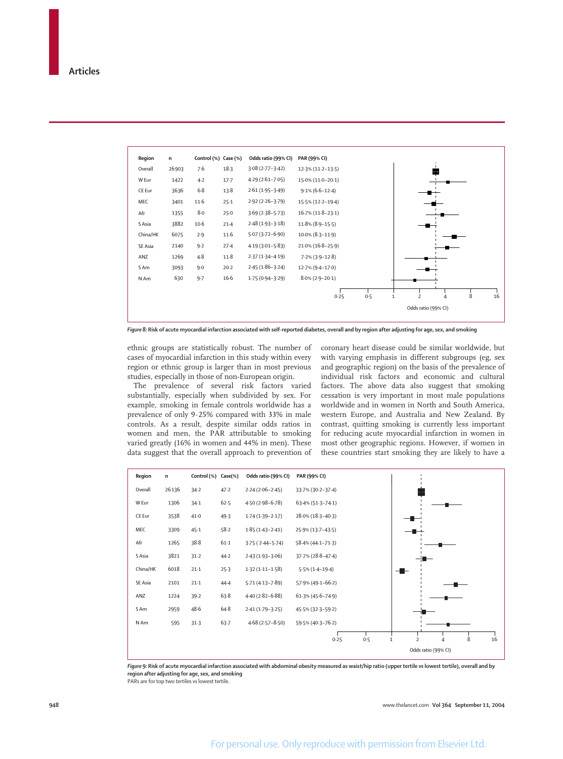

*Figure 8:* **Risk of acute myocardial infarction associated with self-reported diabetes, overall and by region after adjusting for age, sex, and smoking** 

ethnic groups are statistically robust. The number of cases of myocardial infarction in this study within every region or ethnic group is larger than in most previous studies, especially in those of non-European origin.

The prevalence of several risk factors varied substantially, especially when subdivided by sex. For example, smoking in female controls worldwide has a prevalence of only 9·25% compared with 33% in male controls. As a result, despite similar odds ratios in women and men, the PAR attributable to smoking varied greatly (16% in women and 44% in men). These data suggest that the overall approach to prevention of coronary heart disease could be similar worldwide, but with varying emphasis in different subgroups (eg, sex and geographic region) on the basis of the prevalence of individual risk factors and economic and cultural factors. The above data also suggest that smoking cessation is very important in most male populations worldwide and in women in North and South America, western Europe, and Australia and New Zealand. By contrast, quitting smoking is currently less important for reducing acute myocardial infarction in women in most other geographic regions. However, if women in these countries start smoking they are likely to have a



*Figure 9:* **Risk of acute myocardial infarction associated with abdominal obesity measured as waist/hip ratio (upper tertile** *vs***lowest tertile), overall and by region after adjusting for age, sex, and smoking** PARs are for top two tertiles *vs* lowest tertile.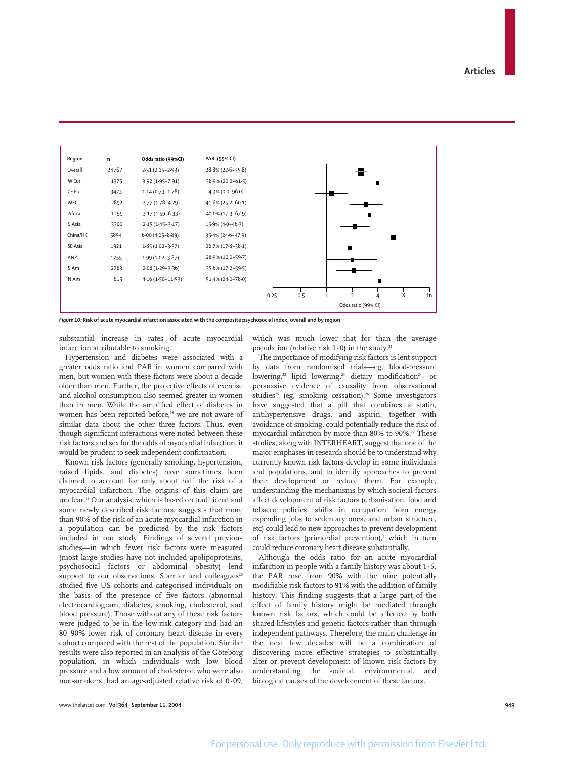| Region   | n     | Odds ratio (99%CI)   | PAR (99% CI)           |      |     |              |                          |   |   |    |
|----------|-------|----------------------|------------------------|------|-----|--------------|--------------------------|---|---|----|
| Overall  | 24767 | $2.51(2.15-2.93)$    | 28.8% (22.6-35.8)      |      |     |              |                          |   |   |    |
| W Eur    | 1375  | 3.92 (1.95-7.91)     | 38.9% (20.2-61.5)      |      |     |              |                          |   |   |    |
| CE Eur   | 3473  | $1.14(0.73 - 1.78)$  | 4.9% (0.0-96.0)        |      |     |              |                          |   |   |    |
| MEC      | 2892  | $2.77(1.78 - 4.29)$  | $41.6\% (25.2 - 60.1)$ |      |     |              |                          |   |   |    |
| Africa   | 1259  | $3.17(1.59 - 6.33)$  | 40.0% (17.3-67.9)      |      |     |              |                          |   |   |    |
| S Asia   | 3300  | $2.15(1.45-3.17)$    | 15.9% (4.0-46.3)       |      |     |              |                          |   |   |    |
| China/HK | 5894  | $6.00(4.05 - 8.89)$  | 35.4% (24.6-47.9)      |      |     |              |                          |   |   |    |
| SE Asia  | 1921  | $1.85(1.02 - 3.37)$  | 26.7% (17.8-38.1)      |      |     |              |                          |   |   |    |
| ANZ      | 1255  | $1.99(1.02 - 3.87)$  | 28.9% (10.0-59.7)      |      |     |              |                          |   |   |    |
| S Am     | 2783  | $2.08(1.29 - 3.36)$  | 35.6% (17.2-59.5)      |      |     |              |                          |   |   |    |
| N Am     | 615   | $4.16(1.50 - 11.53)$ | 51.4% (24.0-78.0)      |      |     |              |                          |   |   |    |
|          |       |                      |                        | 0.25 | 0.5 | $\mathbf{1}$ | $\overline{\phantom{a}}$ | 4 | 8 | 16 |
|          |       |                      |                        |      |     |              | Odds ratio (99% CI)      |   |   |    |

*Figure 10:* **Risk of acute myocardial infarction associated with the composite psychosocial index, overall and by region**

substantial increase in rates of acute myocardial infarction attributable to smoking.

Hypertension and diabetes were associated with a greater odds ratio and PAR in women compared with men, but women with these factors were about a decade older than men. Further, the protective effects of exercise and alcohol consumption also seemed greater in women than in men. While the amplified effect of diabetes in women has been reported before,<sup>18</sup> we are not aware of similar data about the other three factors. Thus, even though significant interactions were noted between these risk factors and sex for the odds of myocardial infarction, it would be prudent to seek independent confirmation.

Known risk factors (generally smoking, hypertension, raised lipids, and diabetes) have sometimes been claimed to account for only about half the risk of a myocardial infarction. The origins of this claim are unclear.19 Our analysis, which is based on traditional and some newly described risk factors, suggests that more than 90% of the risk of an acute myocardial infarction in a population can be predicted by the risk factors included in our study. Findings of several previous studies—in which fewer risk factors were measured (most large studies have not included apolipoproteins, psychosocial factors or abdominal obesity)—lend support to our observations. Stamler and colleagues<sup>20</sup> studied five US cohorts and categorised individuals on the basis of the presence of five factors (abnormal electrocardiogram, diabetes, smoking, cholesterol, and blood pressure). Those without any of these risk factors were judged to be in the low-risk category and had an 80–90% lower risk of coronary heart disease in every cohort compared with the rest of the population. Similar results were also reported in an analysis of the Göteborg population, in which individuals with low blood pressure and a low amount of cholesterol, who were also non-smokers, had an age-adjusted relative risk of 0·09, which was much lower that for than the average population (relative risk  $1\cdot 0$ ) in the study.<sup>21</sup>

The importance of modifying risk factors is lent support by data from randomised trials—eg, blood-pressure lowering,<sup>22</sup> lipid lowering,<sup>23</sup> dietary modification<sup>24</sup>-or persuasive evidence of causality from observational studies<sup>25</sup> (eg, smoking cessation).<sup>26</sup> Some investigators have suggested that a pill that combines a statin, antihypertensive drugs, and aspirin, together with avoidance of smoking, could potentially reduce the risk of myocardial infarction by more than 80% to 90%.<sup>27</sup> These studies, along with INTERHEART, suggest that one of the major emphases in research should be to understand why currently known risk factors develop in some individuals and populations, and to identify approaches to prevent their development or reduce them. For example, understanding the mechanisms by which societal factors affect development of risk factors (urbanisation, food and tobacco policies, shifts in occupation from energy expending jobs to sedentary ones, and urban structure, etc) could lead to new approaches to prevent development of risk factors (primordial prevention),<sup>4</sup> which in turn could reduce coronary heart disease substantially.

Although the odds ratio for an acute myocardial infarction in people with a family history was about  $1.5$ , the PAR rose from 90% with the nine potentially modifiable risk factors to 91% with the addition of family history. This finding suggests that a large part of the effect of family history might be mediated through known risk factors, which could be affected by both shared lifestyles and genetic factors rather than through independent pathways. Therefore, the main challenge in the next few decades will be a combination of discovering more effective strategies to substantially alter or prevent development of known risk factors by understanding the societal, environmental, and biological causes of the development of these factors.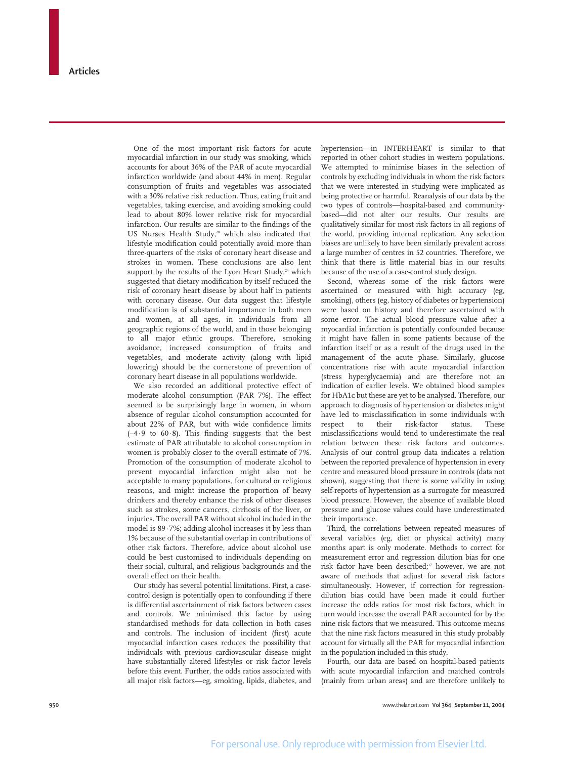One of the most important risk factors for acute myocardial infarction in our study was smoking, which accounts for about 36% of the PAR of acute myocardial infarction worldwide (and about 44% in men). Regular consumption of fruits and vegetables was associated with a 30% relative risk reduction. Thus, eating fruit and vegetables, taking exercise, and avoiding smoking could lead to about 80% lower relative risk for myocardial infarction. Our results are similar to the findings of the US Nurses Health Study,<sup>28</sup> which also indicated that lifestyle modification could potentially avoid more than three-quarters of the risks of coronary heart disease and strokes in women. These conclusions are also lent support by the results of the Lyon Heart Study, $24$  which suggested that dietary modification by itself reduced the risk of coronary heart disease by about half in patients with coronary disease. Our data suggest that lifestyle modification is of substantial importance in both men and women, at all ages, in individuals from all geographic regions of the world, and in those belonging to all major ethnic groups. Therefore, smoking avoidance, increased consumption of fruits and vegetables, and moderate activity (along with lipid lowering) should be the cornerstone of prevention of coronary heart disease in all populations worldwide.

We also recorded an additional protective effect of moderate alcohol consumption (PAR 7%). The effect seemed to be surprisingly large in women, in whom absence of regular alcohol consumption accounted for about 22% of PAR, but with wide confidence limits  $(-4.9 \text{ to } 60.8)$ . This finding suggests that the best estimate of PAR attributable to alcohol consumption in women is probably closer to the overall estimate of 7%. Promotion of the consumption of moderate alcohol to prevent myocardial infarction might also not be acceptable to many populations, for cultural or religious reasons, and might increase the proportion of heavy drinkers and thereby enhance the risk of other diseases such as strokes, some cancers, cirrhosis of the liver, or injuries. The overall PAR without alcohol included in the model is 89·7%; adding alcohol increases it by less than 1% because of the substantial overlap in contributions of other risk factors. Therefore, advice about alcohol use could be best customised to individuals depending on their social, cultural, and religious backgrounds and the overall effect on their health.

Our study has several potential limitations. First, a casecontrol design is potentially open to confounding if there is differential ascertainment of risk factors between cases and controls. We minimised this factor by using standardised methods for data collection in both cases and controls. The inclusion of incident (first) acute myocardial infarction cases reduces the possibility that individuals with previous cardiovascular disease might have substantially altered lifestyles or risk factor levels before this event. Further, the odds ratios associated with all major risk factors—eg, smoking, lipids, diabetes, and

hypertension—in INTERHEART is similar to that reported in other cohort studies in western populations. We attempted to minimise biases in the selection of controls by excluding individuals in whom the risk factors that we were interested in studying were implicated as being protective or harmful. Reanalysis of our data by the two types of controls—hospital-based and communitybased—did not alter our results. Our results are qualitatively similar for most risk factors in all regions of the world, providing internal replication. Any selection biases are unlikely to have been similarly prevalent across a large number of centres in 52 countries. Therefore, we think that there is little material bias in our results because of the use of a case-control study design.

Second, whereas some of the risk factors were ascertained or measured with high accuracy (eg, smoking), others (eg, history of diabetes or hypertension) were based on history and therefore ascertained with some error. The actual blood pressure value after a myocardial infarction is potentially confounded because it might have fallen in some patients because of the infarction itself or as a result of the drugs used in the management of the acute phase. Similarly, glucose concentrations rise with acute myocardial infarction (stress hyperglycaemia) and are therefore not an indication of earlier levels. We obtained blood samples for HbA1c but these are yet to be analysed. Therefore, our approach to diagnosis of hypertension or diabetes might have led to misclassification in some individuals with respect to their risk-factor status. These misclassifications would tend to underestimate the real relation between these risk factors and outcomes. Analysis of our control group data indicates a relation between the reported prevalence of hypertension in every centre and measured blood pressure in controls (data not shown), suggesting that there is some validity in using self-reports of hypertension as a surrogate for measured blood pressure. However, the absence of available blood pressure and glucose values could have underestimated their importance.

Third, the correlations between repeated measures of several variables (eg, diet or physical activity) many months apart is only moderate. Methods to correct for measurement error and regression dilution bias for one risk factor have been described;17 however, we are not aware of methods that adjust for several risk factors simultaneously. However, if correction for regressiondilution bias could have been made it could further increase the odds ratios for most risk factors, which in turn would increase the overall PAR accounted for by the nine risk factors that we measured. This outcome means that the nine risk factors measured in this study probably account for virtually all the PAR for myocardial infarction in the population included in this study.

Fourth, our data are based on hospital-based patients with acute myocardial infarction and matched controls (mainly from urban areas) and are therefore unlikely to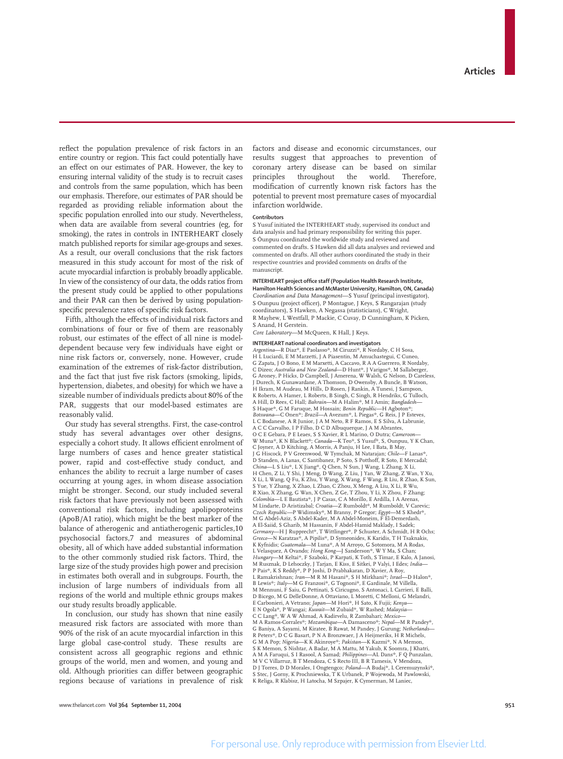reflect the population prevalence of risk factors in an entire country or region. This fact could potentially have an effect on our estimates of PAR. However, the key to ensuring internal validity of the study is to recruit cases and controls from the same population, which has been our emphasis. Therefore, our estimates of PAR should be regarded as providing reliable information about the specific population enrolled into our study. Nevertheless, when data are available from several countries (eg, for smoking), the rates in controls in INTERHEART closely match published reports for similar age-groups and sexes. As a result, our overall conclusions that the risk factors measured in this study account for most of the risk of acute myocardial infarction is probably broadly applicable. In view of the consistency of our data, the odds ratios from the present study could be applied to other populations and their PAR can then be derived by using populationspecific prevalence rates of specific risk factors.

Fifth, although the effects of individual risk factors and combinations of four or five of them are reasonably robust, our estimates of the effect of all nine is modeldependent because very few individuals have eight or nine risk factors or, conversely, none. However, crude examination of the extremes of risk-factor distribution, and the fact that just five risk factors (smoking, lipids, hypertension, diabetes, and obesity) for which we have a sizeable number of individuals predicts about 80% of the PAR, suggests that our model-based estimates are reasonably valid.

Our study has several strengths. First, the case-control study has several advantages over other designs, especially a cohort study. It allows efficient enrolment of large numbers of cases and hence greater statistical power, rapid and cost-effective study conduct, and enhances the ability to recruit a large number of cases occurring at young ages, in whom disease association might be stronger. Second, our study included several risk factors that have previously not been assessed with conventional risk factors, including apolipoproteins (ApoB/A1 ratio), which might be the best marker of the balance of atherogenic and antiatherogenic particles,10 psychosocial factors,7 and measures of abdominal obesity, all of which have added substantial information to the other commonly studied risk factors. Third, the large size of the study provides high power and precision in estimates both overall and in subgroups. Fourth, the inclusion of large numbers of individuals from all regions of the world and multiple ethnic groups makes our study results broadly applicable.

In conclusion, our study has shown that nine easily measured risk factors are associated with more than 90% of the risk of an acute myocardial infarction in this large global case-control study. These results are consistent across all geographic regions and ethnic groups of the world, men and women, and young and old. Although priorities can differ between geographic regions because of variations in prevalence of risk factors and disease and economic circumstances, our results suggest that approaches to prevention of coronary artery disease can be based on similar principles throughout the world. Therefore, modification of currently known risk factors has the potential to prevent most premature cases of myocardial infarction worldwide.

#### **Contributors**

S Yusuf initiated the INTERHEART study, supervised its conduct and data analysis and had primary responsibility for writing this paper. S Ôunpuu coordinated the worldwide study and reviewed and commented on drafts. S Hawken did all data analyses and reviewed and commented on drafts. All other authors coordinated the study in their respective countries and provided comments on drafts of the manuscript.

#### **INTERHEART project office staff (Population Health Research Institute, Hamilton Health Sciences and McMaster University, Hamilton, ON, Canada)**  *Coordination and Data Management*—S Yusuf (principal investigator), S Ounpuu (project officer), P Montague, J Keys, S Rangarajan (study

coordinators), S Hawken, A Negassa (statisticians), C Wright, R Mayhew, L Westfall, P Mackie, C Cuvay, D Cunningham, K Picken, S Anand, H Gerstein.

*Core Laboratory*—M McQueen, K Hall, J Keys.

## **INTERHEART national coordinators and investigators**

*Argentina*—R Diaz\*, E Paolasso\*, M Ciruzzi\*, R Nordaby, C H Sosa, H L Luciardi, E M Marzetti, J A Piasentin, M Amuchastegui, C Cuneo, G Zapata, J O Bono, E M Marxetti, A Caccavo, R A A Guerrero, R Nordaby, C Dizeo; *Australia and New Zealand*—D Hunt\*, J Varigos\*, M Sallaberger, G Aroney, P Hicks, D Campbell, J Amerena, W Walsh, G Nelson, D Careless, J Durech, K Gunawardane, A Thomson, D Owensby, A Buncle, B Watson, H Ikram, M Audeau, M Hills, D Rosen, J Rankin, A Tunesi, J Sampson, K Roberts, A Hamer, L Roberts, B Singh, C Singh, R Hendriks, G Tulloch, A Hill, D Rees, C Hall; *Bahrain*—M A Halim\*, M I Amin; *Bangladesh*— S Haque\*, G M Faruque, M Hossain; *Benin Republic—*H Agboton\*; *Botswana*—C Onen\*; *Brazil*—A Avezum\*, L Piegas\*, G Reis, J P Esteves, L C Bodanese, A R Junior, J A M Neto, R F Ramos, E S Silva, A Labrunie, A C C Carvalho, I P Filho, D C D Albuquerque, J A M Abrantes, O C E Gebara, P E Leaes, S S Xavier, R L Marino, O Dutra; *Cameroon*— W Muna\*, K N Blackett\*; *Canada*—K Teo\*, S Yusuf\*, S, Ounpuu, Y K Chan, C Joyner, A D Kitching, A Morris, A Panju, H Lee, I Bata, B May, J G Hiscock, P V Greenwood, W Tymchak, M Natarajan; *Chile*—F Lanas\*, D Standen, A Lanas, C Santibanez, P Soto, S Potthoff, R Soto, E Mercadal; *China*—L S Liu\*, L X Jiang\*, Q Chen, N Sun, J Wang, L Zhang, X Li,<br>H Chen, Z Li, Y Shi, J Meng, D Wang, Z Liu, J Yan, W Zhang, Z Wan, Y Xu,<br>X Li, L Wang, Q Fu, K Zhu, Y Wang, X Wang, F Wang, R Liu, R Zhao, K Sun,<br>S Yue, Y R Xiao, X Zhang, G Wan, X Chen, Z Ge, T Zhou, Y Li, X Zhou, F Zhang; *Colombia*—L E Bautista\*, J P Casas, C A Morillo, E Ardilla, I A Arenas, M Lindarte, D Aristizabal; *Croatia*—Z Rumboldt\*, M Rumboldt, V Carevic; *Czech Republic—*P Widimsky\*, M Branny, P Gregor; *Egypt*—M S Khedr\*, M G Abdel-Aziz, S Abdel-Kader, M A Abdel-Moneim, F El-Demerdash, A El-Saiid, S Gharib, M Hassanin, F Abdel-Hamid Maklady, I Sadek; *Germany*—H J Rupprecht\*, T Wittlinger\*, P Schuster, A Schmidt, H R Ochs; *Greece*—N Karatzas\*, A Pipilis\*, D Symeonides, K Karidis, T H Tsaknakis, K Kyfnidis; *Guatemala*—M Luna\*, A M Arroyo, G Sotomora, M A Rodas, L Velasquez, A Ovando; *Hong Kong*—J Sanderson\*, W Y Ma, S Chan;<br>*Hungar*y—M Keltai\*, F Szaboki, P Karpati, K Toth, S Timar, E Kalo, A Janosi,<br>M Rusznak, D Lehoczky, J Tarjan, E Kiss, E Sitkei, P Valyi, I Edes; *India*— P Pais\*, K S Reddy\*, P P Joshi, D Prabhakaran, D Xavier, A Roy,<br>L Ramakrishnan: *Iran*—M R M Hasani\*, S H Mirkhani\*: *Israel*—D Halon\* L Ramakrishnan; *Iran*—M R M Hasani\*, S H Mirkhani\*; Israel-B Lewis\*; *Italy*—M G Franzosi\*, G Tognoni\*, E Gardinale, M Villella, M Mennuni, F Saiu, G Pettinati, S Ciricugno, S Antonaci, L Carrieri, E Balli, D Bicego, M G DelleDonne, A Ottaviano, L Moretti, C Melloni, G Melandri, E Carbonieri, A Vetrano; *Japan*—M Hori\*, H Sato, K Fujii; *Kenya*— E N Ogola\*, P Wangai; *Kuwait*—M Zubaid\*, W Rashed; *Malaysia*— C C Lang\*, W A W Ahmad, A Kadirvelu, R Zambahari; *Mexico*— M A Ramos-Corrales\*; *Mozambique*—A Damasceno\*; *Nepal*—M R Pandey\*, G Baniya, A Sayami, M Kiratee, B Rawat, M Pandey, J Gurung; *Netherlands*— R Peters\*, D C G Basart, P N A Bronzwaer, J A Heijmeriks, H R Michels, G M A Pop; *Nigeria*—K K Akinroye\*; *Pakistan*—K Kazmi\*, N A Memon, S K Memon, S Nishtar, A Badar, M A Mattu, M Yakub, K Soomra, J Khatri, A M A Faruqui, S I Rasool, A Samad; *Philippines*—AL Dans\*, F Q Punzalan, M V C Villarruz, B T Mendoza, C S Recto III, B R Tamesis, V Mendoza, D J Torres, D D Morales, I Ongtengco; *Poland*—A Budaj\*, L Ceremuzynski\*, S Stec, J Gorny, K Prochniewska, T K Urbanek, P Wojewoda, M Pawlowski, K Religa, R Klabisz, H Latocha, M Szpajer, K Cymerman, M Laniec,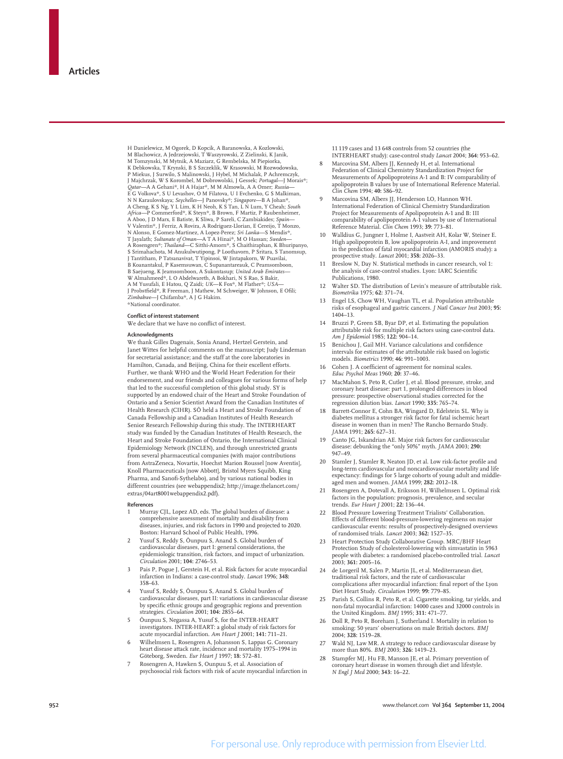H Danielewicz, M Ogorek, D Kopcik, A Baranowska, A Kozlowski, M Blachowicz, A Jedrzejowski, T Waszyrowski, Z Zielinski, K Janik, M Tomzynski, M Mytnik, A Maziarz, G Rembelska, M Piepiorka, K Debkowska, T Krynski, B S Szczeklik, W Krasowski, M Rozwodowska, P Miekus, J Surwilo, S Malinowski, J Hybel, M Michalak, P Achremczyk, J Majchrzak, W S Korombel, M Dobrowolski, J Gessek; *Portugal*—J Morais\*; *Qatar*—A A Gehani\*, H A Hajar\*, M M Almowla, A A Omer; *Russia*— E G Volkova\*, S U Levashov, O M Filatova, U I Evchenko, G S Malkiman, N N Karaulovskaya; *Seychelles*—J Panovsky\*; *Singapore*—B A Johan\*, A Cheng, K S Ng, Y L Lim, K H Neoh, K S Tan, L N Lum, Y Cheah; *South Africa—*P Commerford\*, K Steyn\*, B Brown, F Martiz, P Raubenheimer, A Aboo, J D Marx, E Batiste, K Sliwa, P Sareli, C Zambiakides; *Spain*—<br>V Valentin\*, J Ferriz, A Rovira, A Rodriguez-Llorian, E Cereijo, T Monzo,<br>N Alonso, E Gomez-Martinez, A Lopez-Perez; *Sri Lanka—*S Mendis\*, T Jayalath; *Sultanate of Oman—*A T A Hinai\*, M O Hassan; *Sweden*— A Rosengren\*; *Thailand*—C Sitthi-Amorn\*, S Chaithiraphan, K Bhuripanyo, S Srimahachota, M Anukulwutipong, P Loothavorn, P Sritara, S Tanomsup, J Tantitham, P Tatsanavivat, T Yipinsoi, W Jintapakorn, W Puavilai, B Koanantakul, P Kasemsuwan, C Supanantareauk, C Peamsomboon, B Saejueng, K Jeamsomboon, A Sukontasup; *United Arab Emirates—* W Almahmeed\*, L O Abdelwareth, A Bokhari, N S Rao, S Bakir, A M Yusufali, E Hatou, Q Zaidi; *UK*—K Fox\*, M Flather\*; *USA*— J Probstfield\*, R Freeman, J Mathew, M Schweiger, W Johnson, E Ofili; *Zimbabwe*—J Chifamba\*, A J G Hakim.

\*National coordinator.

**Conflict of interest statement** We declare that we have no conflict of interest.

#### **Acknowledgments**

We thank Gilles Dagenais, Sonia Anand, Hertzel Gerstein, and Janet Wittes for helpful comments on the manuscript; Judy Lindeman for secretarial assistance; and the staff at the core laboratories in Hamilton, Canada, and Beijing, China for their excellent efforts. Further, we thank WHO and the World Heart Federation for their endorsement, and our friends and colleagues for various forms of help that led to the successful completion of this global study. SY is supported by an endowed chair of the Heart and Stroke Foundation of Ontario and a Senior Scientist Award from the Canadian Institutes of Health Research (CIHR). SÔ held a Heart and Stroke Foundation of Canada Fellowship and a Canadian Institutes of Health Research Senior Research Fellowship during this study. The INTERHEART study was funded by the Canadian Institutes of Health Research, the Heart and Stroke Foundation of Ontario, the International Clinical Epidemiology Network (INCLEN), and through unrestricted grants from several pharmaceutical companies (with major contributions from AstraZeneca, Novartis, Hoechst Marion Roussel [now Aventis], Knoll Pharmaceuticals [now Abbott], Bristol Myers Squibb, King Pharma, and Sanofi-Sythelabo), and by various national bodies in different countries (see webappendix2; http://image.thelancet.com/ extras/04art8001webappendix2.pdf).

#### **References**

- 1 Murray CJL, Lopez AD, eds. The global burden of disease: a comprehensive assessment of mortality and disability from diseases, injuries, and risk factors in 1990 and projected to 2020. Boston: Harvard School of Public Health, 1996.
- Yusuf S, Reddy S, Ôunpuu S, Anand S. Global burden of cardiovascular diseases, part I: general considerations, the epidemiologic transition, risk factors, and impact of urbanization. *Circulation* 2001; **104:** 2746–53.
- 3 Pais P, Pogue J, Gerstein H, et al. Risk factors for acute myocardial infarction in Indians: a case-control study. *Lancet* 1996; **348:** 358–63.
- 4 Yusuf S, Reddy S, Ôunpuu S, Anand S. Global burden of cardiovascular diseases, part II: variations in cardiovascular disease by specific ethnic groups and geographic regions and prevention strategies. *Circulation* 2001; **104:** 2855–64.
- 5 Ôunpuu S, Negassa A, Yusuf S, for the INTER-HEART investigators. INTER-HEART: a global study of risk factors for acute myocardial infarction. *Am Heart J* 2001; **141:** 711–21.
- 6 Wilhelmsen L, Rosengren A, Johansson S, Lappas G. Coronary heart disease attack rate, incidence and mortality 1975–1994 in Göteborg, Sweden. *Eur Heart J* 1997; **18:** 572–81.
- 7 Rosengren A, Hawken S, Ounpuu S, et al. Association of psychosocial risk factors with risk of acute myocardial infarction in

11 119 cases and 13 648 controls from 52 countries (the INTERHEART study): case-control study *Lancet* 2004; **364:** 953–62.

- 8 Marcovina SM, Albers JJ, Kennedy H, et al. International Federation of Clinical Chemistry Standardization Project for Measurements of Apolipoproteins A-1 and B: IV comparability of apolipoprotein B values by use of International Reference Material. *Clin Chem* 1994; **40:** 586–92.
- 9 Marcovina SM, Albers JJ, Henderson LO, Hannon WH. International Federation of Clinical Chemistry Standardization Project for Measurements of Apolipoprotein A-1 and B: III comparability of apolipoprotein A-1 values by use of International Reference Material. *Clin Chem* 1993; **39:** 773–81.
- 10Walldius G, Jungner I, Holme I, Aastveit AH, Kolar W, Steiner E. High apolipoprotein B, low apolipoprotein A-I, and improvement in the prediction of fatal myocardial infarction (AMORIS study): a prospective study. *Lancet* 2001; **358:** 2026–33.
- 11 Breslow N, Day N. Statistical methods in cancer research, vol 1: the analysis of case-control studies. Lyon: IARC Scientific Publications, 1980.
- 12 Walter SD. The distribution of Levin's measure of attributable risk. *Biometrika* 1975; **62:** 371–74.
- 13 Engel LS, Chow WH, Vaughan TL, et al. Population attributable risks of esophageal and gastric cancers. *J Natl Cancer Inst* 2003; **95:** 1404–13.
- 14 Bruzzi P, Green SB, Byar DP, et al. Estimating the population attributable risk for multiple risk factors using case-control data. *Am J Epidemiol* 1985; **122:** 904–14.
- 15 Benichou J, Gail MH. Variance calculations and confidence intervals for estimates of the attributable risk based on logistic models. *Biometrics* 1990; **46:** 991–1003.
- 16 Cohen J. A coefficient of agreement for nominal scales. *Educ Psychol Meas* 1960; **20:** 37–46.
- 17 MacMahon S, Peto R, Cutler J, et al. Blood pressure, stroke, and coronary heart disease: part 1, prolonged differences in blood pressure: prospective observational studies corrected for the regression dilution bias. *Lancet* 1990; **335:** 765–74.
- 18 Barrett-Connor E, Cohn BA, Wingard D, Edelstein SL. Why is diabetes mellitus a stronger risk factor for fatal ischemic heart disease in women than in men? The Rancho Bernardo Study. *JAMA* 1991; **265:** 627–31.
- Canto JG, Iskandrian AE. Major risk factors for cardiovascular disease: debunking the "only 50%" myth. *JAMA* 2003; **290:** 947–49.
- 20 Stamler J, Stamler R, Neaton JD, et al. Low risk-factor profile and long-term cardiovascular and noncardiovascular mortality and life expectancy: findings for 5 large cohorts of young adult and middleaged men and women. *JAMA* 1999; **282:** 2012–18.
- 21 Rosengren A, Dotevall A, Eriksson H, Wilhelmsen L. Optimal risk factors in the population: prognosis, prevalence, and secular trends. *Eur Heart J* 2001; **22:** 136–44.
- Blood Pressure Lowering Treatment Trialists' Collaboration. Effects of different blood-pressure-lowering regimens on major cardiovascular events: results of prospectively-designed overviews of randomised trials. *Lancet* 2003; **362:** 1527–35.
- 23 Heart Protection Study Collaborative Group. MRC/BHF Heart Protection Study of cholesterol-lowering with simvastatin in 5963 people with diabetes: a randomised placebo-controlled trial. *Lancet* 2003; **361:** 2005–16.
- 24 de Lorgeril M, Salen P, Martin JL, et al. Mediterranean diet, traditional risk factors, and the rate of cardiovascular complications after myocardial infarction: final report of the Lyon Diet Heart Study. *Circulation* 1999; **99:** 779–85.
- 25 Parish S, Collins R, Peto R, et al. Cigarette smoking, tar yields, and non-fatal myocardial infarction: 14000 cases and 32000 controls in the United Kingdom. *BMJ* 1995; **311:** 471–77.
- 26 Doll R, Peto R, Boreham J, Sutherland I. Mortality in relation to smoking: 50 years' observations on male British doctors. *BMJ* 2004; **328:** 1519–28.
- 27 Wald NJ, Law MR. A strategy to reduce cardiovascular disease by more than 80%. *BMJ* 2003; **326:** 1419–23.
- 28 Stampfer MJ, Hu FB, Manson JE, et al. Primary prevention of coronary heart disease in women through diet and lifestyle. *N Engl J Med* 2000; **343:** 16–22.

**952** www.thelancet.com **Vol 364 September 11, 2004**